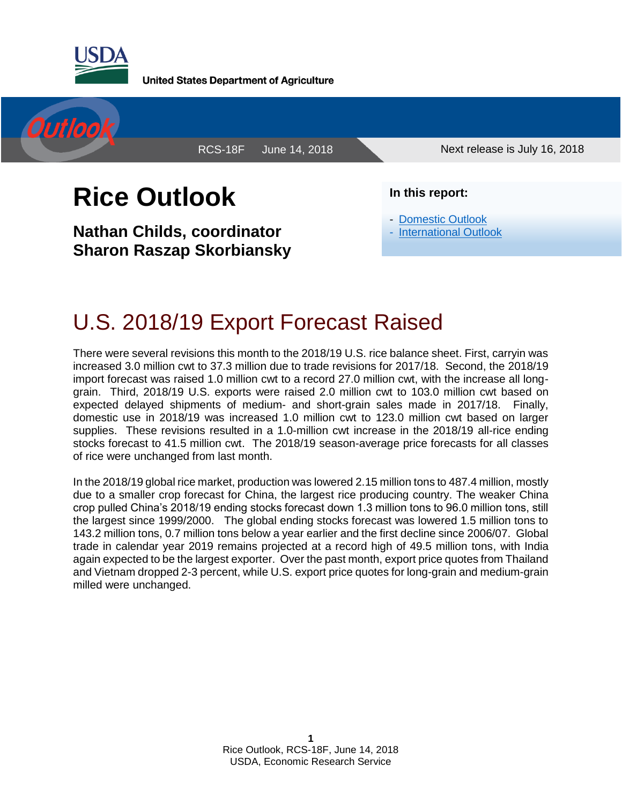

**United States Department of Agriculture** 



RCS-18F June 14, 2018 Next release is July 16, 2018

# **Rice Outlook**

**Nathan Childs, coordinator Sharon Raszap Skorbiansky**  **In this report:**

- [Domestic Outlook](#page-1-0)

- [International Outlook](#page-6-0)

### U.S. 2018/19 Export Forecast Raised

There were several revisions this month to the 2018/19 U.S. rice balance sheet. First, carryin was increased 3.0 million cwt to 37.3 million due to trade revisions for 2017/18. Second, the 2018/19 import forecast was raised 1.0 million cwt to a record 27.0 million cwt, with the increase all longgrain. Third, 2018/19 U.S. exports were raised 2.0 million cwt to 103.0 million cwt based on expected delayed shipments of medium- and short-grain sales made in 2017/18. Finally, domestic use in 2018/19 was increased 1.0 million cwt to 123.0 million cwt based on larger supplies. These revisions resulted in a 1.0-million cwt increase in the 2018/19 all-rice ending stocks forecast to 41.5 million cwt. The 2018/19 season-average price forecasts for all classes of rice were unchanged from last month.

In the 2018/19 global rice market, production was lowered 2.15 million tons to 487.4 million, mostly due to a smaller crop forecast for China, the largest rice producing country. The weaker China crop pulled China's 2018/19 ending stocks forecast down 1.3 million tons to 96.0 million tons, still the largest since 1999/2000. The global ending stocks forecast was lowered 1.5 million tons to 143.2 million tons, 0.7 million tons below a year earlier and the first decline since 2006/07. Global trade in calendar year 2019 remains projected at a record high of 49.5 million tons, with India again expected to be the largest exporter. Over the past month, export price quotes from Thailand and Vietnam dropped 2-3 percent, while U.S. export price quotes for long-grain and medium-grain milled were unchanged.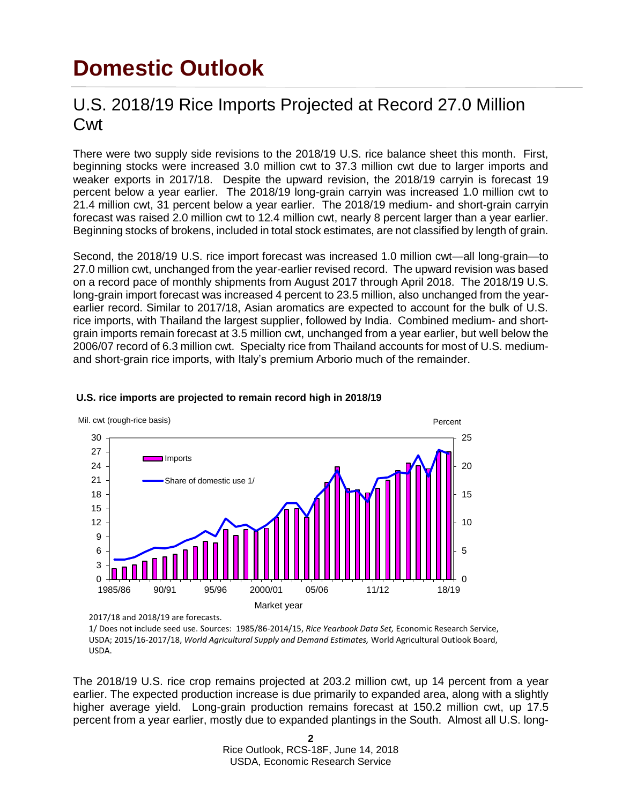## <span id="page-1-0"></span>**Domestic Outlook**

#### U.S. 2018/19 Rice Imports Projected at Record 27.0 Million **Cwt**

There were two supply side revisions to the 2018/19 U.S. rice balance sheet this month. First, beginning stocks were increased 3.0 million cwt to 37.3 million cwt due to larger imports and weaker exports in 2017/18. Despite the upward revision, the 2018/19 carryin is forecast 19 percent below a year earlier. The 2018/19 long-grain carryin was increased 1.0 million cwt to 21.4 million cwt, 31 percent below a year earlier. The 2018/19 medium- and short-grain carryin forecast was raised 2.0 million cwt to 12.4 million cwt, nearly 8 percent larger than a year earlier. Beginning stocks of brokens, included in total stock estimates, are not classified by length of grain.

Second, the 2018/19 U.S. rice import forecast was increased 1.0 million cwt—all long-grain—to 27.0 million cwt, unchanged from the year-earlier revised record. The upward revision was based on a record pace of monthly shipments from August 2017 through April 2018. The 2018/19 U.S. long-grain import forecast was increased 4 percent to 23.5 million, also unchanged from the yearearlier record. Similar to 2017/18, Asian aromatics are expected to account for the bulk of U.S. rice imports, with Thailand the largest supplier, followed by India. Combined medium- and shortgrain imports remain forecast at 3.5 million cwt, unchanged from a year earlier, but well below the 2006/07 record of 6.3 million cwt. Specialty rice from Thailand accounts for most of U.S. mediumand short-grain rice imports, with Italy's premium Arborio much of the remainder.



#### **U.S. rice imports are projected to remain record high in 2018/19**

2017/18 and 2018/19 are forecasts.

1/ Does not include seed use. Sources: 1985/86-2014/15, *Rice Yearbook Data Set,* Economic Research Service, USDA; 2015/16-2017/18, *World Agricultural Supply and Demand Estimates,* World Agricultural Outlook Board, USDA.

The 2018/19 U.S. rice crop remains projected at 203.2 million cwt, up 14 percent from a year earlier. The expected production increase is due primarily to expanded area, along with a slightly higher average yield. Long-grain production remains forecast at 150.2 million cwt, up 17.5 percent from a year earlier, mostly due to expanded plantings in the South. Almost all U.S. long-

> **2** Rice Outlook, RCS-18F, June 14, 2018 USDA, Economic Research Service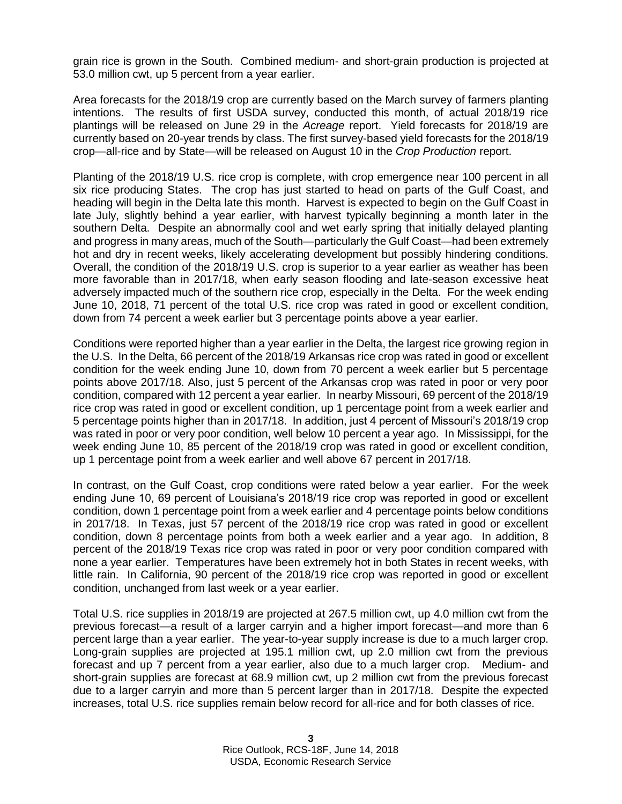grain rice is grown in the South. Combined medium- and short-grain production is projected at 53.0 million cwt, up 5 percent from a year earlier.

Area forecasts for the 2018/19 crop are currently based on the March survey of farmers planting intentions. The results of first USDA survey, conducted this month, of actual 2018/19 rice plantings will be released on June 29 in the *Acreage* report. Yield forecasts for 2018/19 are currently based on 20-year trends by class. The first survey-based yield forecasts for the 2018/19 crop—all-rice and by State—will be released on August 10 in the *Crop Production* report.

Planting of the 2018/19 U.S. rice crop is complete, with crop emergence near 100 percent in all six rice producing States. The crop has just started to head on parts of the Gulf Coast, and heading will begin in the Delta late this month. Harvest is expected to begin on the Gulf Coast in late July, slightly behind a year earlier, with harvest typically beginning a month later in the southern Delta. Despite an abnormally cool and wet early spring that initially delayed planting and progress in many areas, much of the South—particularly the Gulf Coast—had been extremely hot and dry in recent weeks, likely accelerating development but possibly hindering conditions. Overall, the condition of the 2018/19 U.S. crop is superior to a year earlier as weather has been more favorable than in 2017/18, when early season flooding and late-season excessive heat adversely impacted much of the southern rice crop, especially in the Delta. For the week ending June 10, 2018, 71 percent of the total U.S. rice crop was rated in good or excellent condition, down from 74 percent a week earlier but 3 percentage points above a year earlier.

Conditions were reported higher than a year earlier in the Delta, the largest rice growing region in the U.S. In the Delta, 66 percent of the 2018/19 Arkansas rice crop was rated in good or excellent condition for the week ending June 10, down from 70 percent a week earlier but 5 percentage points above 2017/18. Also, just 5 percent of the Arkansas crop was rated in poor or very poor condition, compared with 12 percent a year earlier. In nearby Missouri, 69 percent of the 2018/19 rice crop was rated in good or excellent condition, up 1 percentage point from a week earlier and 5 percentage points higher than in 2017/18. In addition, just 4 percent of Missouri's 2018/19 crop was rated in poor or very poor condition, well below 10 percent a year ago. In Mississippi, for the week ending June 10, 85 percent of the 2018/19 crop was rated in good or excellent condition, up 1 percentage point from a week earlier and well above 67 percent in 2017/18.

In contrast, on the Gulf Coast, crop conditions were rated below a year earlier. For the week ending June 10, 69 percent of Louisiana's 2018/19 rice crop was reported in good or excellent condition, down 1 percentage point from a week earlier and 4 percentage points below conditions in 2017/18. In Texas, just 57 percent of the 2018/19 rice crop was rated in good or excellent condition, down 8 percentage points from both a week earlier and a year ago. In addition, 8 percent of the 2018/19 Texas rice crop was rated in poor or very poor condition compared with none a year earlier. Temperatures have been extremely hot in both States in recent weeks, with little rain. In California, 90 percent of the 2018/19 rice crop was reported in good or excellent condition, unchanged from last week or a year earlier.

Total U.S. rice supplies in 2018/19 are projected at 267.5 million cwt, up 4.0 million cwt from the previous forecast—a result of a larger carryin and a higher import forecast—and more than 6 percent large than a year earlier. The year-to-year supply increase is due to a much larger crop. Long-grain supplies are projected at 195.1 million cwt, up 2.0 million cwt from the previous forecast and up 7 percent from a year earlier, also due to a much larger crop. Medium- and short-grain supplies are forecast at 68.9 million cwt, up 2 million cwt from the previous forecast due to a larger carryin and more than 5 percent larger than in 2017/18. Despite the expected increases, total U.S. rice supplies remain below record for all-rice and for both classes of rice.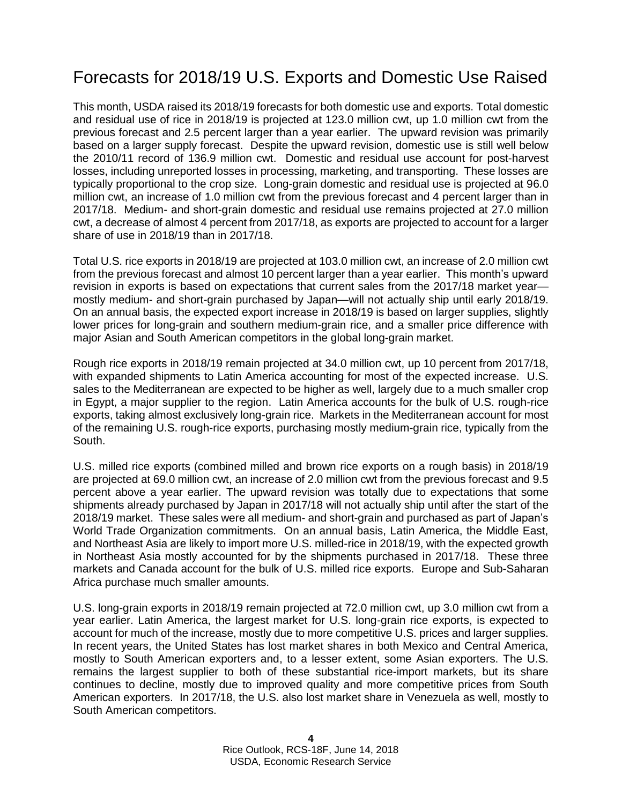### Forecasts for 2018/19 U.S. Exports and Domestic Use Raised

This month, USDA raised its 2018/19 forecasts for both domestic use and exports. Total domestic and residual use of rice in 2018/19 is projected at 123.0 million cwt, up 1.0 million cwt from the previous forecast and 2.5 percent larger than a year earlier. The upward revision was primarily based on a larger supply forecast. Despite the upward revision, domestic use is still well below the 2010/11 record of 136.9 million cwt. Domestic and residual use account for post-harvest losses, including unreported losses in processing, marketing, and transporting. These losses are typically proportional to the crop size. Long-grain domestic and residual use is projected at 96.0 million cwt, an increase of 1.0 million cwt from the previous forecast and 4 percent larger than in 2017/18. Medium- and short-grain domestic and residual use remains projected at 27.0 million cwt, a decrease of almost 4 percent from 2017/18, as exports are projected to account for a larger share of use in 2018/19 than in 2017/18.

Total U.S. rice exports in 2018/19 are projected at 103.0 million cwt, an increase of 2.0 million cwt from the previous forecast and almost 10 percent larger than a year earlier. This month's upward revision in exports is based on expectations that current sales from the 2017/18 market year mostly medium- and short-grain purchased by Japan—will not actually ship until early 2018/19. On an annual basis, the expected export increase in 2018/19 is based on larger supplies, slightly lower prices for long-grain and southern medium-grain rice, and a smaller price difference with major Asian and South American competitors in the global long-grain market.

Rough rice exports in 2018/19 remain projected at 34.0 million cwt, up 10 percent from 2017/18, with expanded shipments to Latin America accounting for most of the expected increase. U.S. sales to the Mediterranean are expected to be higher as well, largely due to a much smaller crop in Egypt, a major supplier to the region. Latin America accounts for the bulk of U.S. rough-rice exports, taking almost exclusively long-grain rice. Markets in the Mediterranean account for most of the remaining U.S. rough-rice exports, purchasing mostly medium-grain rice, typically from the South.

U.S. milled rice exports (combined milled and brown rice exports on a rough basis) in 2018/19 are projected at 69.0 million cwt, an increase of 2.0 million cwt from the previous forecast and 9.5 percent above a year earlier. The upward revision was totally due to expectations that some shipments already purchased by Japan in 2017/18 will not actually ship until after the start of the 2018/19 market. These sales were all medium- and short-grain and purchased as part of Japan's World Trade Organization commitments. On an annual basis, Latin America, the Middle East, and Northeast Asia are likely to import more U.S. milled-rice in 2018/19, with the expected growth in Northeast Asia mostly accounted for by the shipments purchased in 2017/18. These three markets and Canada account for the bulk of U.S. milled rice exports. Europe and Sub-Saharan Africa purchase much smaller amounts.

U.S. long-grain exports in 2018/19 remain projected at 72.0 million cwt, up 3.0 million cwt from a year earlier. Latin America, the largest market for U.S. long-grain rice exports, is expected to account for much of the increase, mostly due to more competitive U.S. prices and larger supplies. In recent years, the United States has lost market shares in both Mexico and Central America, mostly to South American exporters and, to a lesser extent, some Asian exporters. The U.S. remains the largest supplier to both of these substantial rice-import markets, but its share continues to decline, mostly due to improved quality and more competitive prices from South American exporters. In 2017/18, the U.S. also lost market share in Venezuela as well, mostly to South American competitors.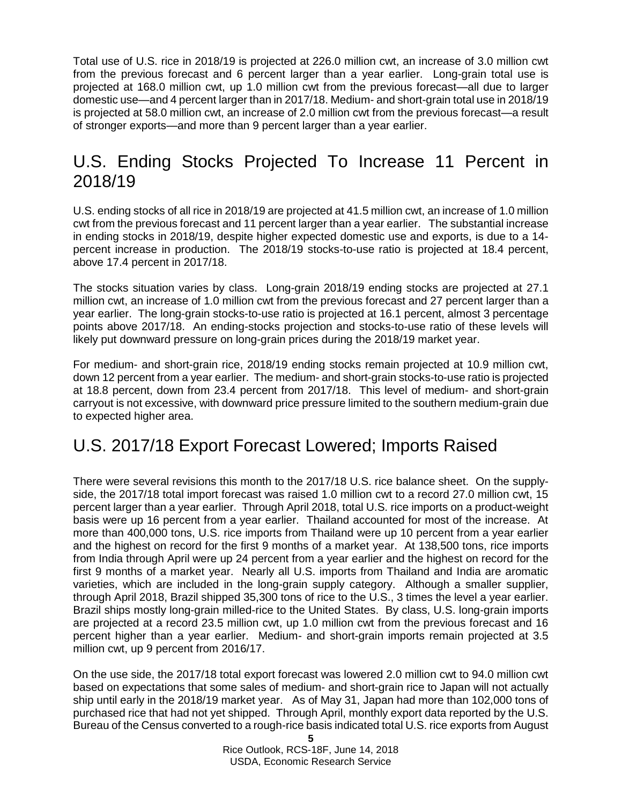Total use of U.S. rice in 2018/19 is projected at 226.0 million cwt, an increase of 3.0 million cwt from the previous forecast and 6 percent larger than a year earlier. Long-grain total use is projected at 168.0 million cwt, up 1.0 million cwt from the previous forecast—all due to larger domestic use—and 4 percent larger than in 2017/18. Medium- and short-grain total use in 2018/19 is projected at 58.0 million cwt, an increase of 2.0 million cwt from the previous forecast—a result of stronger exports—and more than 9 percent larger than a year earlier.

#### U.S. Ending Stocks Projected To Increase 11 Percent in 2018/19

U.S. ending stocks of all rice in 2018/19 are projected at 41.5 million cwt, an increase of 1.0 million cwt from the previous forecast and 11 percent larger than a year earlier. The substantial increase in ending stocks in 2018/19, despite higher expected domestic use and exports, is due to a 14 percent increase in production. The 2018/19 stocks-to-use ratio is projected at 18.4 percent, above 17.4 percent in 2017/18.

The stocks situation varies by class. Long-grain 2018/19 ending stocks are projected at 27.1 million cwt, an increase of 1.0 million cwt from the previous forecast and 27 percent larger than a year earlier. The long-grain stocks-to-use ratio is projected at 16.1 percent, almost 3 percentage points above 2017/18. An ending-stocks projection and stocks-to-use ratio of these levels will likely put downward pressure on long-grain prices during the 2018/19 market year.

For medium- and short-grain rice, 2018/19 ending stocks remain projected at 10.9 million cwt, down 12 percent from a year earlier. The medium- and short-grain stocks-to-use ratio is projected at 18.8 percent, down from 23.4 percent from 2017/18. This level of medium- and short-grain carryout is not excessive, with downward price pressure limited to the southern medium-grain due to expected higher area.

#### U.S. 2017/18 Export Forecast Lowered; Imports Raised

There were several revisions this month to the 2017/18 U.S. rice balance sheet. On the supplyside, the 2017/18 total import forecast was raised 1.0 million cwt to a record 27.0 million cwt, 15 percent larger than a year earlier. Through April 2018, total U.S. rice imports on a product-weight basis were up 16 percent from a year earlier. Thailand accounted for most of the increase. At more than 400,000 tons, U.S. rice imports from Thailand were up 10 percent from a year earlier and the highest on record for the first 9 months of a market year. At 138,500 tons, rice imports from India through April were up 24 percent from a year earlier and the highest on record for the first 9 months of a market year. Nearly all U.S. imports from Thailand and India are aromatic varieties, which are included in the long-grain supply category. Although a smaller supplier, through April 2018, Brazil shipped 35,300 tons of rice to the U.S., 3 times the level a year earlier. Brazil ships mostly long-grain milled-rice to the United States. By class, U.S. long-grain imports are projected at a record 23.5 million cwt, up 1.0 million cwt from the previous forecast and 16 percent higher than a year earlier. Medium- and short-grain imports remain projected at 3.5 million cwt, up 9 percent from 2016/17.

On the use side, the 2017/18 total export forecast was lowered 2.0 million cwt to 94.0 million cwt based on expectations that some sales of medium- and short-grain rice to Japan will not actually ship until early in the 2018/19 market year. As of May 31, Japan had more than 102,000 tons of purchased rice that had not yet shipped. Through April, monthly export data reported by the U.S. Bureau of the Census converted to a rough-rice basis indicated total U.S. rice exports from August

**<sup>5</sup>** Rice Outlook, RCS-18F, June 14, 2018 USDA, Economic Research Service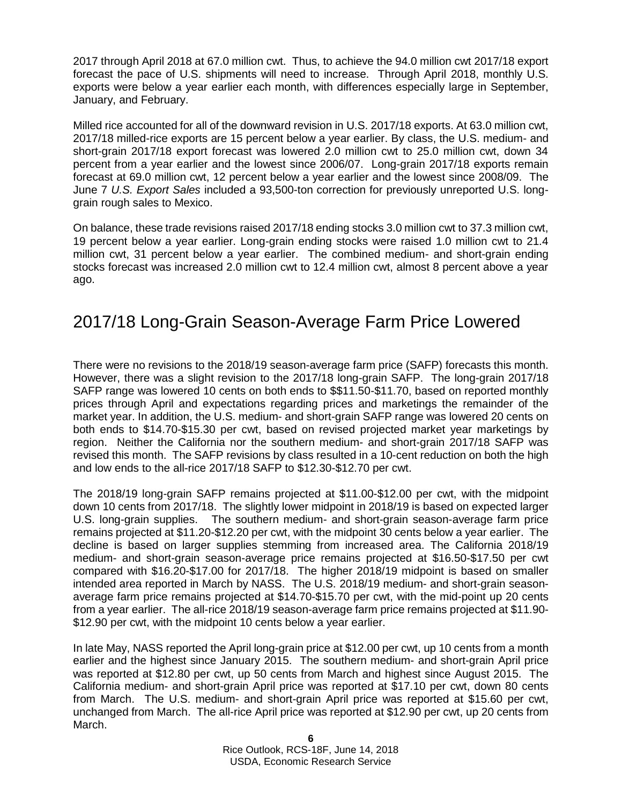2017 through April 2018 at 67.0 million cwt. Thus, to achieve the 94.0 million cwt 2017/18 export forecast the pace of U.S. shipments will need to increase. Through April 2018, monthly U.S. exports were below a year earlier each month, with differences especially large in September, January, and February.

Milled rice accounted for all of the downward revision in U.S. 2017/18 exports. At 63.0 million cwt, 2017/18 milled-rice exports are 15 percent below a year earlier. By class, the U.S. medium- and short-grain 2017/18 export forecast was lowered 2.0 million cwt to 25.0 million cwt, down 34 percent from a year earlier and the lowest since 2006/07. Long-grain 2017/18 exports remain forecast at 69.0 million cwt, 12 percent below a year earlier and the lowest since 2008/09. The June 7 *U.S. Export Sales* included a 93,500-ton correction for previously unreported U.S. longgrain rough sales to Mexico.

On balance, these trade revisions raised 2017/18 ending stocks 3.0 million cwt to 37.3 million cwt, 19 percent below a year earlier. Long-grain ending stocks were raised 1.0 million cwt to 21.4 million cwt, 31 percent below a year earlier. The combined medium- and short-grain ending stocks forecast was increased 2.0 million cwt to 12.4 million cwt, almost 8 percent above a year ago.

#### 2017/18 Long-Grain Season-Average Farm Price Lowered

There were no revisions to the 2018/19 season-average farm price (SAFP) forecasts this month. However, there was a slight revision to the 2017/18 long-grain SAFP. The long-grain 2017/18 SAFP range was lowered 10 cents on both ends to \$\$11.50-\$11.70, based on reported monthly prices through April and expectations regarding prices and marketings the remainder of the market year. In addition, the U.S. medium- and short-grain SAFP range was lowered 20 cents on both ends to \$14.70-\$15.30 per cwt, based on revised projected market year marketings by region. Neither the California nor the southern medium- and short-grain 2017/18 SAFP was revised this month. The SAFP revisions by class resulted in a 10-cent reduction on both the high and low ends to the all-rice 2017/18 SAFP to \$12.30-\$12.70 per cwt.

The 2018/19 long-grain SAFP remains projected at \$11.00-\$12.00 per cwt, with the midpoint down 10 cents from 2017/18. The slightly lower midpoint in 2018/19 is based on expected larger U.S. long-grain supplies. The southern medium- and short-grain season-average farm price remains projected at \$11.20-\$12.20 per cwt, with the midpoint 30 cents below a year earlier. The decline is based on larger supplies stemming from increased area. The California 2018/19 medium- and short-grain season-average price remains projected at \$16.50-\$17.50 per cwt compared with \$16.20-\$17.00 for 2017/18. The higher 2018/19 midpoint is based on smaller intended area reported in March by NASS. The U.S. 2018/19 medium- and short-grain seasonaverage farm price remains projected at \$14.70-\$15.70 per cwt, with the mid-point up 20 cents from a year earlier. The all-rice 2018/19 season-average farm price remains projected at \$11.90- \$12.90 per cwt, with the midpoint 10 cents below a year earlier.

In late May, NASS reported the April long-grain price at \$12.00 per cwt, up 10 cents from a month earlier and the highest since January 2015. The southern medium- and short-grain April price was reported at \$12.80 per cwt, up 50 cents from March and highest since August 2015. The California medium- and short-grain April price was reported at \$17.10 per cwt, down 80 cents from March. The U.S. medium- and short-grain April price was reported at \$15.60 per cwt, unchanged from March. The all-rice April price was reported at \$12.90 per cwt, up 20 cents from March.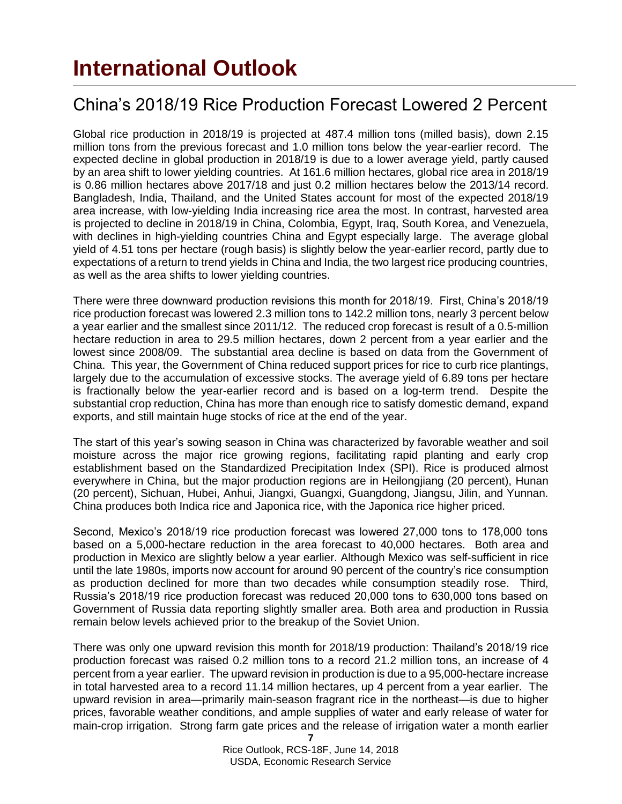### <span id="page-6-0"></span>**International Outlook**

### China's 2018/19 Rice Production Forecast Lowered 2 Percent

Global rice production in 2018/19 is projected at 487.4 million tons (milled basis), down 2.15 million tons from the previous forecast and 1.0 million tons below the year-earlier record. The expected decline in global production in 2018/19 is due to a lower average yield, partly caused by an area shift to lower yielding countries. At 161.6 million hectares, global rice area in 2018/19 is 0.86 million hectares above 2017/18 and just 0.2 million hectares below the 2013/14 record. Bangladesh, India, Thailand, and the United States account for most of the expected 2018/19 area increase, with low-yielding India increasing rice area the most. In contrast, harvested area is projected to decline in 2018/19 in China, Colombia, Egypt, Iraq, South Korea, and Venezuela, with declines in high-yielding countries China and Egypt especially large. The average global yield of 4.51 tons per hectare (rough basis) is slightly below the year-earlier record, partly due to expectations of a return to trend yields in China and India, the two largest rice producing countries, as well as the area shifts to lower yielding countries.

There were three downward production revisions this month for 2018/19. First, China's 2018/19 rice production forecast was lowered 2.3 million tons to 142.2 million tons, nearly 3 percent below a year earlier and the smallest since 2011/12. The reduced crop forecast is result of a 0.5-million hectare reduction in area to 29.5 million hectares, down 2 percent from a year earlier and the lowest since 2008/09. The substantial area decline is based on data from the Government of China. This year, the Government of China reduced support prices for rice to curb rice plantings, largely due to the accumulation of excessive stocks. The average yield of 6.89 tons per hectare is fractionally below the year-earlier record and is based on a log-term trend. Despite the substantial crop reduction, China has more than enough rice to satisfy domestic demand, expand exports, and still maintain huge stocks of rice at the end of the year.

The start of this year's sowing season in China was characterized by favorable weather and soil moisture across the major rice growing regions, facilitating rapid planting and early crop establishment based on the Standardized Precipitation Index (SPI). Rice is produced almost everywhere in China, but the major production regions are in Heilongjiang (20 percent), Hunan (20 percent), Sichuan, Hubei, Anhui, Jiangxi, Guangxi, Guangdong, Jiangsu, Jilin, and Yunnan. China produces both Indica rice and Japonica rice, with the Japonica rice higher priced.

Second, Mexico's 2018/19 rice production forecast was lowered 27,000 tons to 178,000 tons based on a 5,000-hectare reduction in the area forecast to 40,000 hectares. Both area and production in Mexico are slightly below a year earlier. Although Mexico was self-sufficient in rice until the late 1980s, imports now account for around 90 percent of the country's rice consumption as production declined for more than two decades while consumption steadily rose. Third, Russia's 2018/19 rice production forecast was reduced 20,000 tons to 630,000 tons based on Government of Russia data reporting slightly smaller area. Both area and production in Russia remain below levels achieved prior to the breakup of the Soviet Union.

There was only one upward revision this month for 2018/19 production: Thailand's 2018/19 rice production forecast was raised 0.2 million tons to a record 21.2 million tons, an increase of 4 percent from a year earlier. The upward revision in production is due to a 95,000-hectare increase in total harvested area to a record 11.14 million hectares, up 4 percent from a year earlier. The upward revision in area—primarily main-season fragrant rice in the northeast—is due to higher prices, favorable weather conditions, and ample supplies of water and early release of water for main-crop irrigation. Strong farm gate prices and the release of irrigation water a month earlier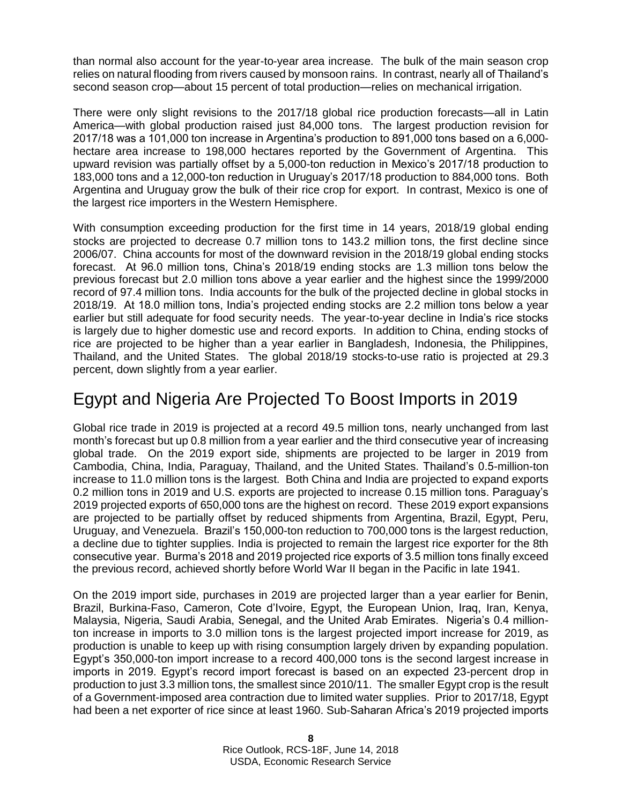than normal also account for the year-to-year area increase. The bulk of the main season crop relies on natural flooding from rivers caused by monsoon rains. In contrast, nearly all of Thailand's second season crop—about 15 percent of total production—relies on mechanical irrigation.

There were only slight revisions to the 2017/18 global rice production forecasts—all in Latin America—with global production raised just 84,000 tons. The largest production revision for 2017/18 was a 101,000 ton increase in Argentina's production to 891,000 tons based on a 6,000 hectare area increase to 198,000 hectares reported by the Government of Argentina. This upward revision was partially offset by a 5,000-ton reduction in Mexico's 2017/18 production to 183,000 tons and a 12,000-ton reduction in Uruguay's 2017/18 production to 884,000 tons. Both Argentina and Uruguay grow the bulk of their rice crop for export. In contrast, Mexico is one of the largest rice importers in the Western Hemisphere.

With consumption exceeding production for the first time in 14 years, 2018/19 global ending stocks are projected to decrease 0.7 million tons to 143.2 million tons, the first decline since 2006/07. China accounts for most of the downward revision in the 2018/19 global ending stocks forecast. At 96.0 million tons, China's 2018/19 ending stocks are 1.3 million tons below the previous forecast but 2.0 million tons above a year earlier and the highest since the 1999/2000 record of 97.4 million tons. India accounts for the bulk of the projected decline in global stocks in 2018/19. At 18.0 million tons, India's projected ending stocks are 2.2 million tons below a year earlier but still adequate for food security needs. The year-to-year decline in India's rice stocks is largely due to higher domestic use and record exports. In addition to China, ending stocks of rice are projected to be higher than a year earlier in Bangladesh, Indonesia, the Philippines, Thailand, and the United States. The global 2018/19 stocks-to-use ratio is projected at 29.3 percent, down slightly from a year earlier.

#### Egypt and Nigeria Are Projected To Boost Imports in 2019

Global rice trade in 2019 is projected at a record 49.5 million tons, nearly unchanged from last month's forecast but up 0.8 million from a year earlier and the third consecutive year of increasing global trade. On the 2019 export side, shipments are projected to be larger in 2019 from Cambodia, China, India, Paraguay, Thailand, and the United States. Thailand's 0.5-million-ton increase to 11.0 million tons is the largest. Both China and India are projected to expand exports 0.2 million tons in 2019 and U.S. exports are projected to increase 0.15 million tons. Paraguay's 2019 projected exports of 650,000 tons are the highest on record. These 2019 export expansions are projected to be partially offset by reduced shipments from Argentina, Brazil, Egypt, Peru, Uruguay, and Venezuela. Brazil's 150,000-ton reduction to 700,000 tons is the largest reduction, a decline due to tighter supplies. India is projected to remain the largest rice exporter for the 8th consecutive year. Burma's 2018 and 2019 projected rice exports of 3.5 million tons finally exceed the previous record, achieved shortly before World War II began in the Pacific in late 1941.

On the 2019 import side, purchases in 2019 are projected larger than a year earlier for Benin, Brazil, Burkina-Faso, Cameron, Cote d'Ivoire, Egypt, the European Union, Iraq, Iran, Kenya, Malaysia, Nigeria, Saudi Arabia, Senegal, and the United Arab Emirates. Nigeria's 0.4 millionton increase in imports to 3.0 million tons is the largest projected import increase for 2019, as production is unable to keep up with rising consumption largely driven by expanding population. Egypt's 350,000-ton import increase to a record 400,000 tons is the second largest increase in imports in 2019. Egypt's record import forecast is based on an expected 23-percent drop in production to just 3.3 million tons, the smallest since 2010/11. The smaller Egypt crop is the result of a Government-imposed area contraction due to limited water supplies. Prior to 2017/18, Egypt had been a net exporter of rice since at least 1960. Sub-Saharan Africa's 2019 projected imports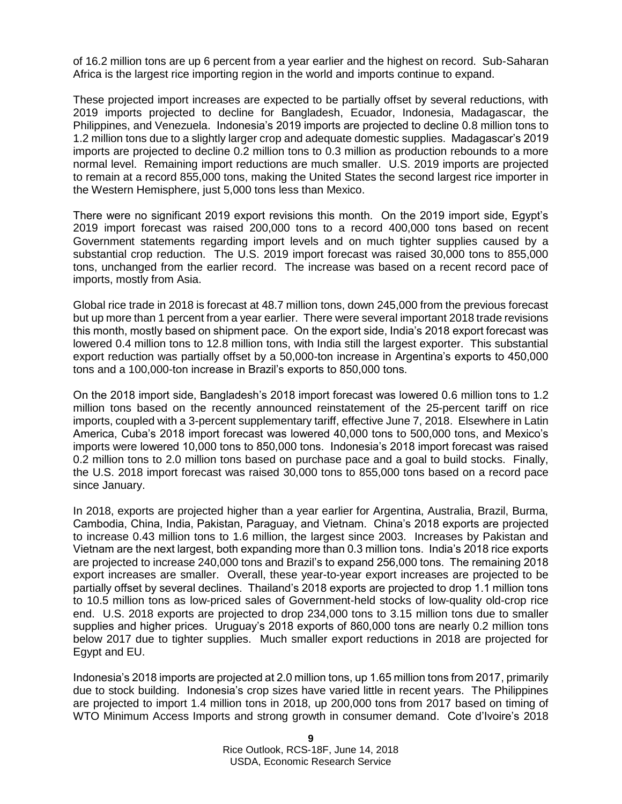of 16.2 million tons are up 6 percent from a year earlier and the highest on record. Sub-Saharan Africa is the largest rice importing region in the world and imports continue to expand.

These projected import increases are expected to be partially offset by several reductions, with 2019 imports projected to decline for Bangladesh, Ecuador, Indonesia, Madagascar, the Philippines, and Venezuela. Indonesia's 2019 imports are projected to decline 0.8 million tons to 1.2 million tons due to a slightly larger crop and adequate domestic supplies. Madagascar's 2019 imports are projected to decline 0.2 million tons to 0.3 million as production rebounds to a more normal level. Remaining import reductions are much smaller. U.S. 2019 imports are projected to remain at a record 855,000 tons, making the United States the second largest rice importer in the Western Hemisphere, just 5,000 tons less than Mexico.

There were no significant 2019 export revisions this month. On the 2019 import side, Egypt's 2019 import forecast was raised 200,000 tons to a record 400,000 tons based on recent Government statements regarding import levels and on much tighter supplies caused by a substantial crop reduction. The U.S. 2019 import forecast was raised 30,000 tons to 855,000 tons, unchanged from the earlier record. The increase was based on a recent record pace of imports, mostly from Asia.

Global rice trade in 2018 is forecast at 48.7 million tons, down 245,000 from the previous forecast but up more than 1 percent from a year earlier. There were several important 2018 trade revisions this month, mostly based on shipment pace. On the export side, India's 2018 export forecast was lowered 0.4 million tons to 12.8 million tons, with India still the largest exporter. This substantial export reduction was partially offset by a 50,000-ton increase in Argentina's exports to 450,000 tons and a 100,000-ton increase in Brazil's exports to 850,000 tons.

On the 2018 import side, Bangladesh's 2018 import forecast was lowered 0.6 million tons to 1.2 million tons based on the recently announced reinstatement of the 25-percent tariff on rice imports, coupled with a 3-percent supplementary tariff, effective June 7, 2018. Elsewhere in Latin America, Cuba's 2018 import forecast was lowered 40,000 tons to 500,000 tons, and Mexico's imports were lowered 10,000 tons to 850,000 tons. Indonesia's 2018 import forecast was raised 0.2 million tons to 2.0 million tons based on purchase pace and a goal to build stocks. Finally, the U.S. 2018 import forecast was raised 30,000 tons to 855,000 tons based on a record pace since January.

In 2018, exports are projected higher than a year earlier for Argentina, Australia, Brazil, Burma, Cambodia, China, India, Pakistan, Paraguay, and Vietnam. China's 2018 exports are projected to increase 0.43 million tons to 1.6 million, the largest since 2003. Increases by Pakistan and Vietnam are the next largest, both expanding more than 0.3 million tons. India's 2018 rice exports are projected to increase 240,000 tons and Brazil's to expand 256,000 tons. The remaining 2018 export increases are smaller. Overall, these year-to-year export increases are projected to be partially offset by several declines. Thailand's 2018 exports are projected to drop 1.1 million tons to 10.5 million tons as low-priced sales of Government-held stocks of low-quality old-crop rice end. U.S. 2018 exports are projected to drop 234,000 tons to 3.15 million tons due to smaller supplies and higher prices. Uruguay's 2018 exports of 860,000 tons are nearly 0.2 million tons below 2017 due to tighter supplies. Much smaller export reductions in 2018 are projected for Egypt and EU.

Indonesia's 2018 imports are projected at 2.0 million tons, up 1.65 million tons from 2017, primarily due to stock building. Indonesia's crop sizes have varied little in recent years. The Philippines are projected to import 1.4 million tons in 2018, up 200,000 tons from 2017 based on timing of WTO Minimum Access Imports and strong growth in consumer demand. Cote d'Ivoire's 2018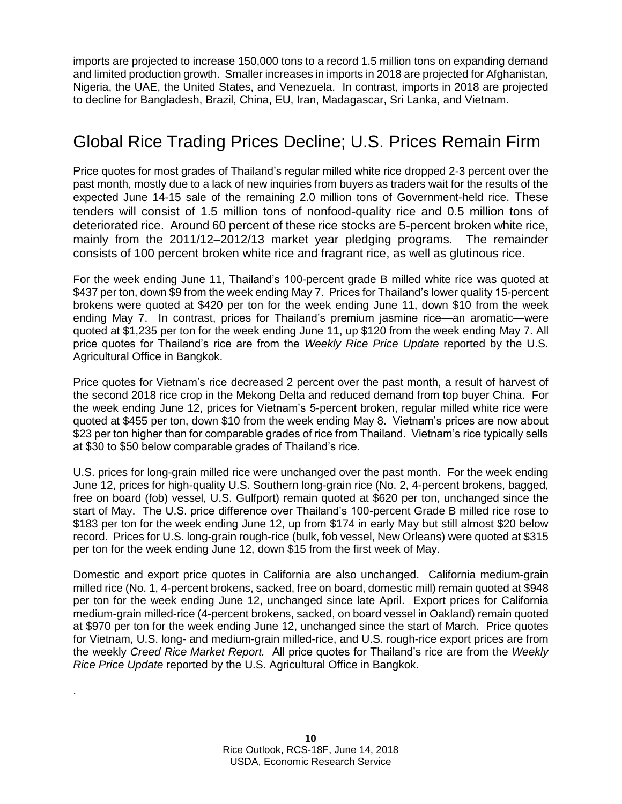imports are projected to increase 150,000 tons to a record 1.5 million tons on expanding demand and limited production growth. Smaller increases in imports in 2018 are projected for Afghanistan, Nigeria, the UAE, the United States, and Venezuela. In contrast, imports in 2018 are projected to decline for Bangladesh, Brazil, China, EU, Iran, Madagascar, Sri Lanka, and Vietnam.

#### Global Rice Trading Prices Decline; U.S. Prices Remain Firm

Price quotes for most grades of Thailand's regular milled white rice dropped 2-3 percent over the past month, mostly due to a lack of new inquiries from buyers as traders wait for the results of the expected June 14-15 sale of the remaining 2.0 million tons of Government-held rice. These tenders will consist of 1.5 million tons of nonfood-quality rice and 0.5 million tons of deteriorated rice. Around 60 percent of these rice stocks are 5-percent broken white rice, mainly from the 2011/12–2012/13 market year pledging programs. The remainder consists of 100 percent broken white rice and fragrant rice, as well as glutinous rice.

For the week ending June 11, Thailand's 100-percent grade B milled white rice was quoted at \$437 per ton, down \$9 from the week ending May 7. Prices for Thailand's lower quality 15-percent brokens were quoted at \$420 per ton for the week ending June 11, down \$10 from the week ending May 7. In contrast, prices for Thailand's premium jasmine rice—an aromatic—were quoted at \$1,235 per ton for the week ending June 11, up \$120 from the week ending May 7. All price quotes for Thailand's rice are from the *Weekly Rice Price Update* reported by the U.S. Agricultural Office in Bangkok.

Price quotes for Vietnam's rice decreased 2 percent over the past month, a result of harvest of the second 2018 rice crop in the Mekong Delta and reduced demand from top buyer China. For the week ending June 12, prices for Vietnam's 5-percent broken, regular milled white rice were quoted at \$455 per ton, down \$10 from the week ending May 8. Vietnam's prices are now about \$23 per ton higher than for comparable grades of rice from Thailand. Vietnam's rice typically sells at \$30 to \$50 below comparable grades of Thailand's rice.

U.S. prices for long-grain milled rice were unchanged over the past month. For the week ending June 12, prices for high-quality U.S. Southern long-grain rice (No. 2, 4-percent brokens, bagged, free on board (fob) vessel, U.S. Gulfport) remain quoted at \$620 per ton, unchanged since the start of May. The U.S. price difference over Thailand's 100-percent Grade B milled rice rose to \$183 per ton for the week ending June 12, up from \$174 in early May but still almost \$20 below record. Prices for U.S. long-grain rough-rice (bulk, fob vessel, New Orleans) were quoted at \$315 per ton for the week ending June 12, down \$15 from the first week of May.

Domestic and export price quotes in California are also unchanged. California medium-grain milled rice (No. 1, 4-percent brokens, sacked, free on board, domestic mill) remain quoted at \$948 per ton for the week ending June 12, unchanged since late April. Export prices for California medium-grain milled-rice (4-percent brokens, sacked, on board vessel in Oakland) remain quoted at \$970 per ton for the week ending June 12, unchanged since the start of March. Price quotes for Vietnam, U.S. long- and medium-grain milled-rice, and U.S. rough-rice export prices are from the weekly *Creed Rice Market Report.* All price quotes for Thailand's rice are from the *Weekly Rice Price Update* reported by the U.S. Agricultural Office in Bangkok.

.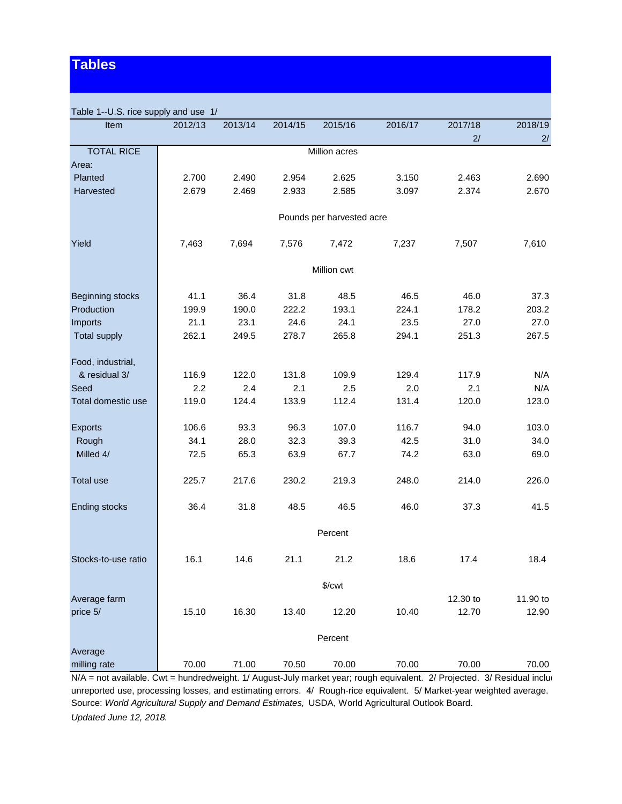#### **Tables**

| Table 1--U.S. rice supply and use 1/ |         |         |         |                           |         |          |          |
|--------------------------------------|---------|---------|---------|---------------------------|---------|----------|----------|
| Item                                 | 2012/13 | 2013/14 | 2014/15 | 2015/16                   | 2016/17 | 2017/18  | 2018/19  |
|                                      |         |         |         |                           |         | 2/       | 2/       |
| <b>TOTAL RICE</b>                    |         |         |         | Million acres             |         |          |          |
| Area:                                |         |         |         |                           |         |          |          |
| Planted                              | 2.700   | 2.490   | 2.954   | 2.625                     | 3.150   | 2.463    | 2.690    |
| Harvested                            | 2.679   | 2.469   | 2.933   | 2.585                     | 3.097   | 2.374    | 2.670    |
|                                      |         |         |         | Pounds per harvested acre |         |          |          |
| Yield                                | 7,463   | 7,694   | 7,576   | 7,472                     | 7,237   | 7,507    | 7,610    |
|                                      |         |         |         | Million cwt               |         |          |          |
| Beginning stocks                     | 41.1    | 36.4    | 31.8    | 48.5                      | 46.5    | 46.0     | 37.3     |
| Production                           | 199.9   | 190.0   | 222.2   | 193.1                     | 224.1   | 178.2    | 203.2    |
| Imports                              | 21.1    | 23.1    | 24.6    | 24.1                      | 23.5    | 27.0     | 27.0     |
| <b>Total supply</b>                  | 262.1   | 249.5   | 278.7   | 265.8                     | 294.1   | 251.3    | 267.5    |
| Food, industrial,                    |         |         |         |                           |         |          |          |
| & residual 3/                        | 116.9   | 122.0   | 131.8   | 109.9                     | 129.4   | 117.9    | N/A      |
| Seed                                 | 2.2     | 2.4     | 2.1     | 2.5                       | 2.0     | 2.1      | N/A      |
| Total domestic use                   | 119.0   | 124.4   | 133.9   | 112.4                     | 131.4   | 120.0    | 123.0    |
| <b>Exports</b>                       | 106.6   | 93.3    | 96.3    | 107.0                     | 116.7   | 94.0     | 103.0    |
| Rough                                | 34.1    | 28.0    | 32.3    | 39.3                      | 42.5    | 31.0     | 34.0     |
| Milled 4/                            | 72.5    | 65.3    | 63.9    | 67.7                      | 74.2    | 63.0     | 69.0     |
| <b>Total use</b>                     | 225.7   | 217.6   | 230.2   | 219.3                     | 248.0   | 214.0    | 226.0    |
| <b>Ending stocks</b>                 | 36.4    | 31.8    | 48.5    | 46.5                      | 46.0    | 37.3     | 41.5     |
|                                      |         |         |         | Percent                   |         |          |          |
| Stocks-to-use ratio                  | 16.1    | 14.6    | 21.1    | 21.2                      | 18.6    | 17.4     | 18.4     |
|                                      |         |         |         | $\sqrt{\text{Cwt}}$       |         |          |          |
| Average farm                         |         |         |         |                           |         | 12.30 to | 11.90 to |
| price 5/                             | 15.10   | 16.30   | 13.40   | 12.20                     | 10.40   | 12.70    | 12.90    |
|                                      |         |         |         | Percent                   |         |          |          |
| Average                              |         |         |         |                           |         |          |          |
| milling rate                         | 70.00   | 71.00   | 70.50   | 70.00                     | 70.00   | 70.00    | 70.00    |

 $N/A$  = not available. Cwt = hundredweight. 1/ August-July market year; rough equivalent. 2/ Projected. 3/ Residual includ unreported use, processing losses, and estimating errors. 4/ Rough-rice equivalent. 5/ Market-year weighted average. Source: *World Agricultural Supply and Demand Estimates,* USDA, World Agricultural Outlook Board. *Updated June 12, 2018.*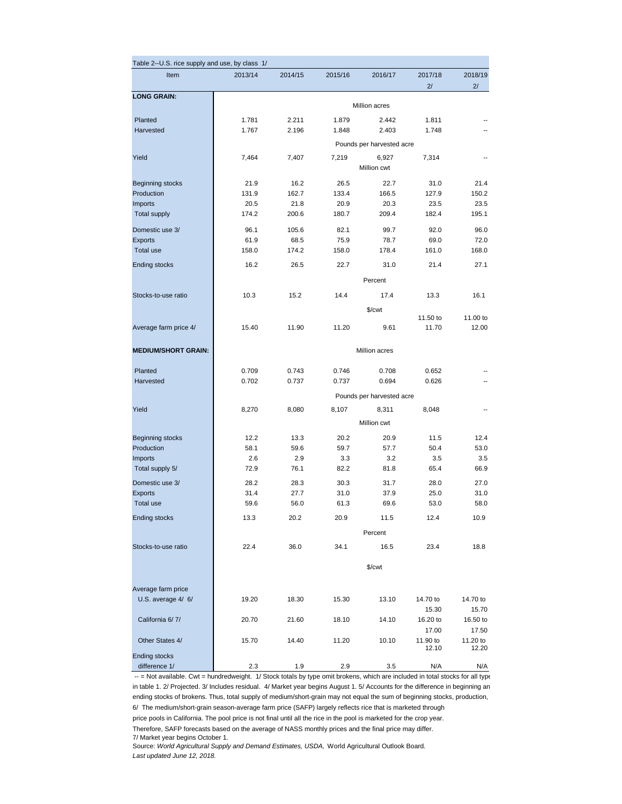| Table 2--U.S. rice supply and use, by class 1/ |         |         |         |                           |          |          |
|------------------------------------------------|---------|---------|---------|---------------------------|----------|----------|
| Item                                           | 2013/14 | 2014/15 | 2015/16 | 2016/17                   | 2017/18  | 2018/19  |
|                                                |         |         |         |                           | 2/       | 2/       |
| <b>LONG GRAIN:</b>                             |         |         |         |                           |          |          |
|                                                |         |         |         | Million acres             |          |          |
| Planted                                        | 1.781   | 2.211   | 1.879   | 2.442                     | 1.811    |          |
| Harvested                                      | 1.767   | 2.196   | 1.848   | 2.403                     | 1.748    |          |
|                                                |         |         |         | Pounds per harvested acre |          |          |
| Yield                                          | 7,464   | 7,407   | 7,219   | 6,927                     | 7,314    |          |
|                                                |         |         |         | Million cwt               |          |          |
| <b>Beginning stocks</b>                        | 21.9    | 16.2    | 26.5    | 22.7                      | 31.0     | 21.4     |
| Production                                     | 131.9   | 162.7   | 133.4   | 166.5                     | 127.9    | 150.2    |
| Imports                                        | 20.5    | 21.8    | 20.9    | 20.3                      | 23.5     | 23.5     |
| <b>Total supply</b>                            | 174.2   | 200.6   | 180.7   | 209.4                     | 182.4    | 195.1    |
|                                                |         |         |         |                           |          |          |
| Domestic use 3/                                | 96.1    | 105.6   | 82.1    | 99.7                      | 92.0     | 96.0     |
| Exports                                        | 61.9    | 68.5    | 75.9    | 78.7                      | 69.0     | 72.0     |
| Total use                                      | 158.0   | 174.2   | 158.0   | 178.4                     | 161.0    | 168.0    |
| <b>Ending stocks</b>                           | 16.2    | 26.5    | 22.7    | 31.0                      | 21.4     | 27.1     |
|                                                |         |         |         | Percent                   |          |          |
|                                                |         |         |         |                           |          |          |
| Stocks-to-use ratio                            | 10.3    | 15.2    | 14.4    | 17.4                      | 13.3     | 16.1     |
|                                                |         |         |         | \$/cwt                    |          |          |
|                                                |         |         |         |                           | 11.50 to | 11.00 to |
| Average farm price 4/                          | 15.40   | 11.90   | 11.20   | 9.61                      | 11.70    | 12.00    |
| <b>MEDIUM/SHORT GRAIN:</b>                     |         |         |         | Million acres             |          |          |
|                                                |         |         |         |                           |          |          |
| Planted                                        | 0.709   | 0.743   | 0.746   | 0.708                     | 0.652    |          |
| Harvested                                      | 0.702   | 0.737   | 0.737   | 0.694                     | 0.626    |          |
|                                                |         |         |         | Pounds per harvested acre |          |          |
| Yield                                          | 8,270   | 8,080   | 8,107   | 8,311                     | 8,048    |          |
|                                                |         |         |         |                           |          |          |
|                                                |         |         |         | Million cwt               |          |          |
| <b>Beginning stocks</b>                        | 12.2    | 13.3    | 20.2    | 20.9                      | 11.5     | 12.4     |
| Production                                     | 58.1    | 59.6    | 59.7    | 57.7                      | 50.4     | 53.0     |
| Imports                                        | 2.6     | 2.9     | 3.3     | 3.2                       | 3.5      | 3.5      |
| Total supply 5/                                | 72.9    | 76.1    | 82.2    | 81.8                      | 65.4     | 66.9     |
| Domestic use 3/                                | 28.2    | 28.3    | 30.3    | 31.7                      | 28.0     | 27.0     |
| Exports                                        | 31.4    | 27.7    | 31.0    | 37.9                      | 25.0     | 31.0     |
| Total use                                      | 59.6    | 56.0    | 61.3    | 69.6                      | 53.0     | 58.0     |
| <b>Ending stocks</b>                           | 13.3    | 20.2    | 20.9    | 11.5                      | 12.4     | 10.9     |
|                                                |         |         |         | Percent                   |          |          |
|                                                |         |         |         |                           |          |          |
| Stocks-to-use ratio                            | 22.4    | 36.0    | 34.1    | 16.5                      | 23.4     | 18.8     |
|                                                |         |         |         | $%$ / $cwt$               |          |          |
|                                                |         |         |         |                           |          |          |
| Average farm price                             |         |         |         |                           |          |          |
| U.S. average 4/ 6/                             | 19.20   | 18.30   | 15.30   | 13.10                     | 14.70 to | 14.70 to |
|                                                |         |         |         |                           | 15.30    | 15.70    |
| California 6/7/                                | 20.70   | 21.60   | 18.10   | 14.10                     | 16.20 to | 16.50 to |
|                                                |         |         |         |                           | 17.00    | 17.50    |
| Other States 4/                                | 15.70   | 14.40   | 11.20   | 10.10                     | 11.90 to | 11.20 to |
| <b>Ending stocks</b>                           |         |         |         |                           | 12.10    | 12.20    |
| difference 1/                                  | 2.3     | 1.9     | 2.9     | 3.5                       | N/A      | N/A      |
|                                                |         |         |         |                           |          |          |

 -- = Not available. Cwt = hundredweight. 1/ Stock totals by type omit brokens, which are included in total stocks for all type in table 1. 2/ Projected. 3/ Includes residual. 4/ Market year begins August 1. 5/ Accounts for the difference in beginning an ending stocks of brokens. Thus, total supply of medium/short-grain may not equal the sum of beginning stocks, production, 6/ The medium/short-grain season-average farm price (SAFP) largely reflects rice that is marketed through

price pools in California. The pool price is not final until all the rice in the pool is marketed for the crop year. Therefore, SAFP forecasts based on the average of NASS monthly prices and the final price may differ. 7/ Market year begins October 1.

Source: *World Agricultural Supply and Demand Estimates, USDA,* World Agricultural Outlook Board. *Last updated June 12, 2018.*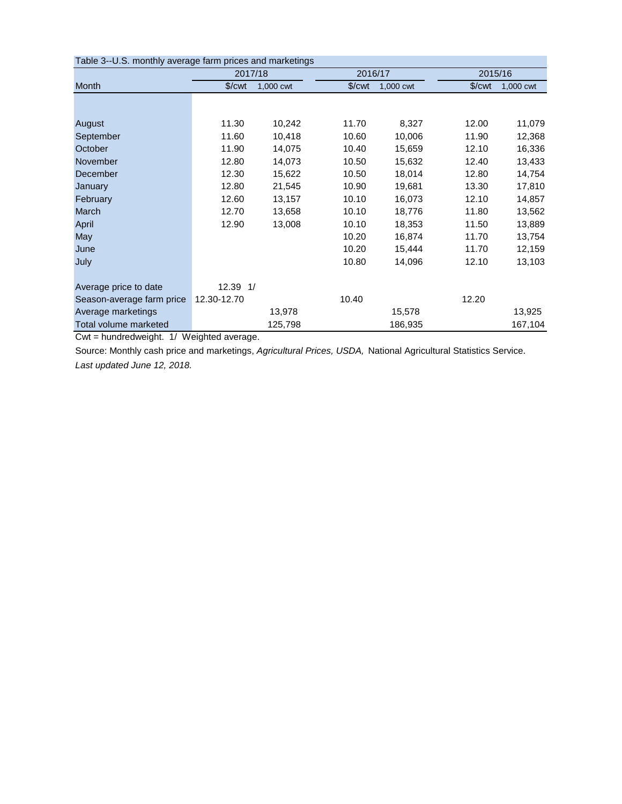| Table 3--U.S. monthly average farm prices and marketings |                    |           |                      |           |                    |           |
|----------------------------------------------------------|--------------------|-----------|----------------------|-----------|--------------------|-----------|
|                                                          | 2017/18            |           | 2016/17              |           | 2015/16            |           |
| Month                                                    | \$/ <sub>cut</sub> | 1,000 cwt | $\sqrt{\frac{2}{1}}$ | 1,000 cwt | \$/ <sub>cut</sub> | 1,000 cwt |
|                                                          |                    |           |                      |           |                    |           |
| August                                                   | 11.30              | 10,242    | 11.70                | 8,327     | 12.00              | 11,079    |
| September                                                | 11.60              | 10,418    | 10.60                | 10,006    | 11.90              | 12,368    |
| October                                                  | 11.90              | 14,075    | 10.40                | 15,659    | 12.10              | 16,336    |
| November                                                 | 12.80              | 14,073    | 10.50                | 15,632    | 12.40              | 13,433    |
| December                                                 | 12.30              | 15,622    | 10.50                | 18,014    | 12.80              | 14,754    |
| January                                                  | 12.80              | 21,545    | 10.90                | 19,681    | 13.30              | 17,810    |
| February                                                 | 12.60              | 13,157    | 10.10                | 16,073    | 12.10              | 14,857    |
| March                                                    | 12.70              | 13,658    | 10.10                | 18,776    | 11.80              | 13,562    |
| April                                                    | 12.90              | 13,008    | 10.10                | 18,353    | 11.50              | 13,889    |
| May                                                      |                    |           | 10.20                | 16,874    | 11.70              | 13,754    |
| June                                                     |                    |           | 10.20                | 15,444    | 11.70              | 12,159    |
| July                                                     |                    |           | 10.80                | 14,096    | 12.10              | 13,103    |
| Average price to date                                    | 12.39 1/           |           |                      |           |                    |           |
| Season-average farm price                                | 12.30-12.70        |           | 10.40                |           | 12.20              |           |
| Average marketings                                       |                    | 13,978    |                      | 15,578    |                    | 13,925    |
| Total volume marketed                                    |                    | 125,798   |                      | 186,935   |                    | 167,104   |

Cwt = hundredweight. 1/ Weighted average.

Source: Monthly cash price and marketings, *Agricultural Prices, USDA,* National Agricultural Statistics Service. *Last updated June 12, 2018.*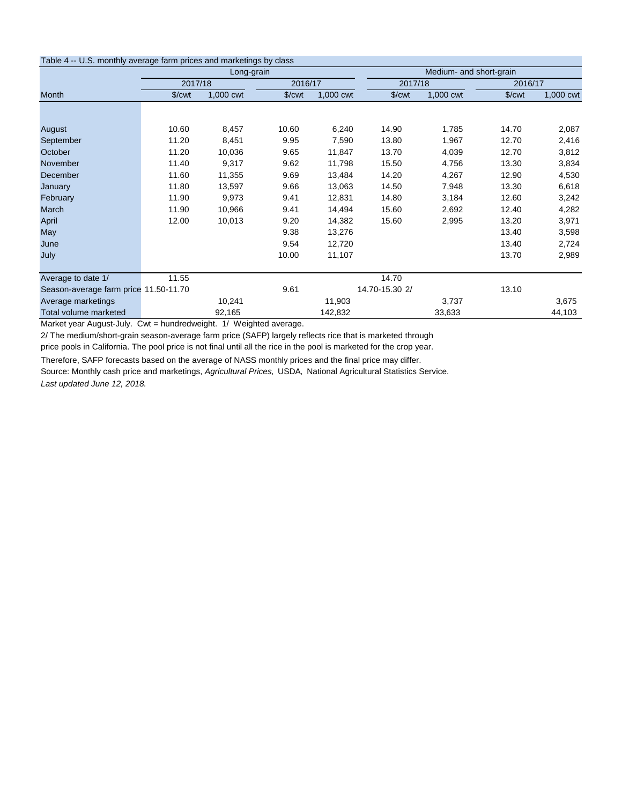| Table 4 - U.S. monthly average farm prices and marketings by class |                      |            |                      |           |                        |                         |                      |           |
|--------------------------------------------------------------------|----------------------|------------|----------------------|-----------|------------------------|-------------------------|----------------------|-----------|
|                                                                    |                      | Long-grain |                      |           |                        | Medium- and short-grain |                      |           |
|                                                                    | 2017/18              |            | 2016/17              |           | 2017/18                |                         | 2016/17              |           |
| Month                                                              | $\sqrt{\frac{2}{1}}$ | 1,000 cwt  | $%$ / $\mathsf{cwt}$ | 1,000 cwt | $%$ / $\mathcal{C}$ wt | 1,000 cwt               | $\sqrt{\frac{2}{1}}$ | 1,000 cwt |
|                                                                    |                      |            |                      |           |                        |                         |                      |           |
|                                                                    |                      |            |                      |           |                        |                         |                      |           |
| August                                                             | 10.60                | 8,457      | 10.60                | 6,240     | 14.90                  | 1,785                   | 14.70                | 2,087     |
| September                                                          | 11.20                | 8,451      | 9.95                 | 7,590     | 13.80                  | 1,967                   | 12.70                | 2,416     |
| October                                                            | 11.20                | 10,036     | 9.65                 | 11,847    | 13.70                  | 4,039                   | 12.70                | 3,812     |
| November                                                           | 11.40                | 9,317      | 9.62                 | 11,798    | 15.50                  | 4,756                   | 13.30                | 3,834     |
| December                                                           | 11.60                | 11,355     | 9.69                 | 13,484    | 14.20                  | 4,267                   | 12.90                | 4,530     |
| January                                                            | 11.80                | 13,597     | 9.66                 | 13,063    | 14.50                  | 7,948                   | 13.30                | 6,618     |
| February                                                           | 11.90                | 9,973      | 9.41                 | 12,831    | 14.80                  | 3,184                   | 12.60                | 3,242     |
| March                                                              | 11.90                | 10,966     | 9.41                 | 14,494    | 15.60                  | 2,692                   | 12.40                | 4,282     |
| April                                                              | 12.00                | 10,013     | 9.20                 | 14,382    | 15.60                  | 2,995                   | 13.20                | 3,971     |
| May                                                                |                      |            | 9.38                 | 13,276    |                        |                         | 13.40                | 3,598     |
| June                                                               |                      |            | 9.54                 | 12,720    |                        |                         | 13.40                | 2,724     |
| July                                                               |                      |            | 10.00                | 11,107    |                        |                         | 13.70                | 2,989     |
| Average to date 1/                                                 | 11.55                |            |                      |           | 14.70                  |                         |                      |           |
| Season-average farm price 11.50-11.70                              |                      |            | 9.61                 |           | 14.70-15.30 2/         |                         | 13.10                |           |
| Average marketings                                                 |                      | 10,241     |                      | 11,903    |                        | 3,737                   |                      | 3,675     |
| Total volume marketed                                              |                      | 92,165     |                      | 142,832   |                        | 33,633                  |                      | 44,103    |

Market year August-July. Cwt = hundredweight. 1/ Weighted average.

2/ The medium/short-grain season-average farm price (SAFP) largely reflects rice that is marketed through price pools in California. The pool price is not final until all the rice in the pool is marketed for the crop year.

Therefore, SAFP forecasts based on the average of NASS monthly prices and the final price may differ.

Source: Monthly cash price and marketings, *Agricultural Prices,* USDA*,* National Agricultural Statistics Service. *Last updated June 12, 2018.*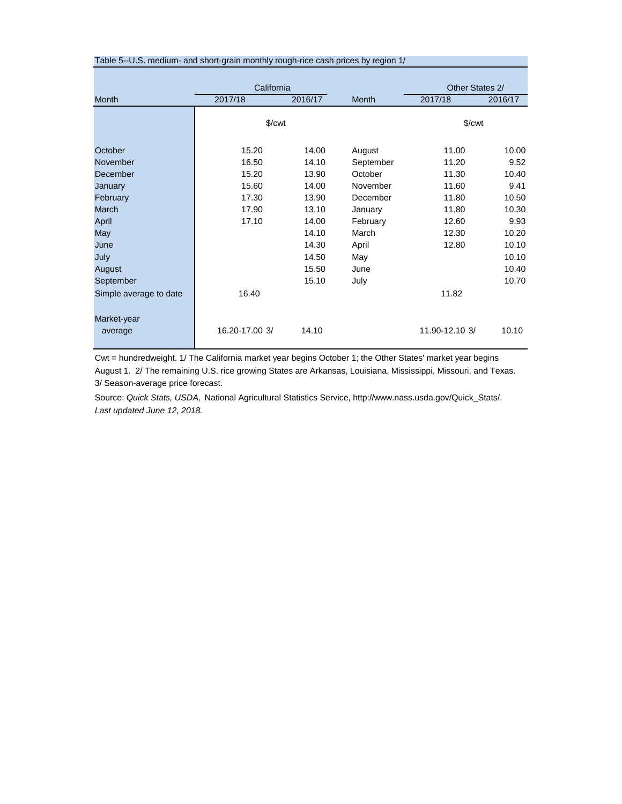| Table 5--U.S. medium- and short-grain monthly rough-rice cash prices by region 1/ |                    |         |              |                        |         |  |  |  |
|-----------------------------------------------------------------------------------|--------------------|---------|--------------|------------------------|---------|--|--|--|
|                                                                                   |                    |         |              |                        |         |  |  |  |
|                                                                                   | California         |         |              | Other States 2/        |         |  |  |  |
| <b>Month</b>                                                                      | 2017/18            | 2016/17 | <b>Month</b> | 2017/18                | 2016/17 |  |  |  |
|                                                                                   |                    |         |              |                        |         |  |  |  |
|                                                                                   | \$/ <sub>cut</sub> |         |              | $\sqrt{\frac{2}{\pi}}$ |         |  |  |  |
|                                                                                   |                    |         |              |                        |         |  |  |  |
| October                                                                           | 15.20              | 14.00   | August       | 11.00                  | 10.00   |  |  |  |
| November                                                                          | 16.50              | 14.10   | September    | 11.20                  | 9.52    |  |  |  |
| December                                                                          | 15.20              | 13.90   | October      | 11.30                  | 10.40   |  |  |  |
| January                                                                           | 15.60              | 14.00   | November     | 11.60                  | 9.41    |  |  |  |
| February                                                                          | 17.30              | 13.90   | December     | 11.80                  | 10.50   |  |  |  |
| March                                                                             | 17.90              | 13.10   | January      | 11.80                  | 10.30   |  |  |  |
| April                                                                             | 17.10              | 14.00   | February     | 12.60                  | 9.93    |  |  |  |
| May                                                                               |                    | 14.10   | March        | 12.30                  | 10.20   |  |  |  |
| June                                                                              |                    | 14.30   | April        | 12.80                  | 10.10   |  |  |  |
| July                                                                              |                    | 14.50   | May          |                        | 10.10   |  |  |  |
| August                                                                            |                    | 15.50   | June         |                        | 10.40   |  |  |  |
| September                                                                         |                    | 15.10   | July         |                        | 10.70   |  |  |  |
| Simple average to date                                                            | 16.40              |         |              | 11.82                  |         |  |  |  |
|                                                                                   |                    |         |              |                        |         |  |  |  |
| Market-year                                                                       |                    |         |              |                        |         |  |  |  |
| average                                                                           | 16.20-17.00 3/     | 14.10   |              | 11.90-12.10 3/         | 10.10   |  |  |  |
|                                                                                   |                    |         |              |                        |         |  |  |  |
|                                                                                   |                    |         |              |                        |         |  |  |  |

Cwt = hundredweight. 1/ The California market year begins October 1; the Other States' market year begins August 1. 2/ The remaining U.S. rice growing States are Arkansas, Louisiana, Mississippi, Missouri, and Texas. 3/ Season-average price forecast.

Source: *Quick Stats, USDA,* National Agricultural Statistics Service, http://www.nass.usda.gov/Quick\_Stats/. *Last updated June 12, 2018.*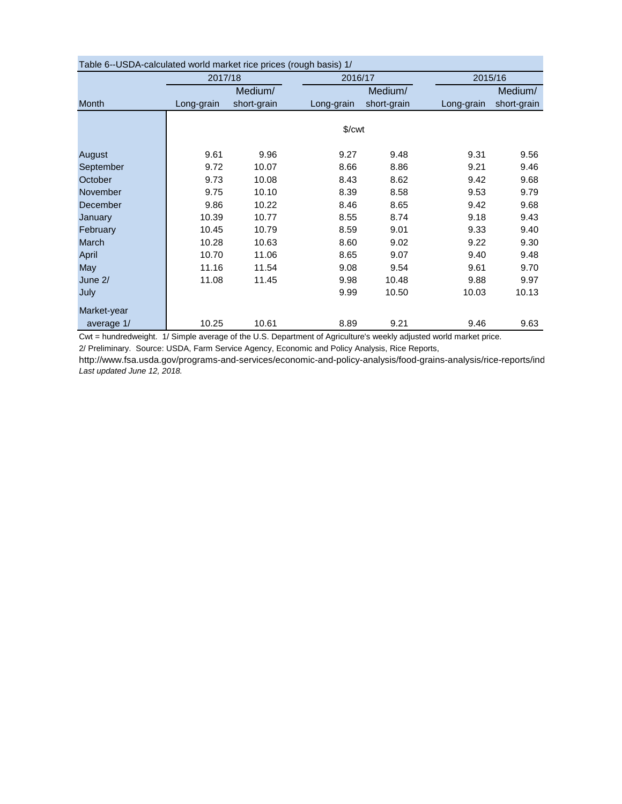| Table 6--USDA-calculated world market rice prices (rough basis) 1/ |            |             |                       |             |            |             |  |  |  |  |
|--------------------------------------------------------------------|------------|-------------|-----------------------|-------------|------------|-------------|--|--|--|--|
|                                                                    | 2017/18    |             | 2016/17               |             | 2015/16    |             |  |  |  |  |
|                                                                    |            | Medium/     |                       | Medium/     |            | Medium/     |  |  |  |  |
| Month                                                              | Long-grain | short-grain | Long-grain            | short-grain | Long-grain | short-grain |  |  |  |  |
|                                                                    |            |             |                       |             |            |             |  |  |  |  |
|                                                                    |            |             | $%$ / $\mathsf{cw}$ t |             |            |             |  |  |  |  |
|                                                                    |            |             |                       |             |            |             |  |  |  |  |
| August                                                             | 9.61       | 9.96        | 9.27                  | 9.48        | 9.31       | 9.56        |  |  |  |  |
| September                                                          | 9.72       | 10.07       | 8.66                  | 8.86        | 9.21       | 9.46        |  |  |  |  |
| October                                                            | 9.73       | 10.08       | 8.43                  | 8.62        | 9.42       | 9.68        |  |  |  |  |
| November                                                           | 9.75       | 10.10       | 8.39                  | 8.58        | 9.53       | 9.79        |  |  |  |  |
| December                                                           | 9.86       | 10.22       | 8.46                  | 8.65        | 9.42       | 9.68        |  |  |  |  |
| January                                                            | 10.39      | 10.77       | 8.55                  | 8.74        | 9.18       | 9.43        |  |  |  |  |
| February                                                           | 10.45      | 10.79       | 8.59                  | 9.01        | 9.33       | 9.40        |  |  |  |  |
| March                                                              | 10.28      | 10.63       | 8.60                  | 9.02        | 9.22       | 9.30        |  |  |  |  |
| April                                                              | 10.70      | 11.06       | 8.65                  | 9.07        | 9.40       | 9.48        |  |  |  |  |
| May                                                                | 11.16      | 11.54       | 9.08                  | 9.54        | 9.61       | 9.70        |  |  |  |  |
| June 2/                                                            | 11.08      | 11.45       | 9.98                  | 10.48       | 9.88       | 9.97        |  |  |  |  |
| July                                                               |            |             | 9.99                  | 10.50       | 10.03      | 10.13       |  |  |  |  |
| Market-year                                                        |            |             |                       |             |            |             |  |  |  |  |
| average 1/                                                         | 10.25      | 10.61       | 8.89                  | 9.21        | 9.46       | 9.63        |  |  |  |  |

Table 6--USDA-calculated world market rice prices (rough basis) 1/

Cwt = hundredweight. 1/ Simple average of the U.S. Department of Agriculture's weekly adjusted world market price.

2/ Preliminary. Source: USDA, Farm Service Agency, Economic and Policy Analysis, Rice Reports,

http://www.fsa.usda.gov/programs-and-services/economic-and-policy-analysis/food-grains-analysis/rice-reports/ind *Last updated June 12, 2018.*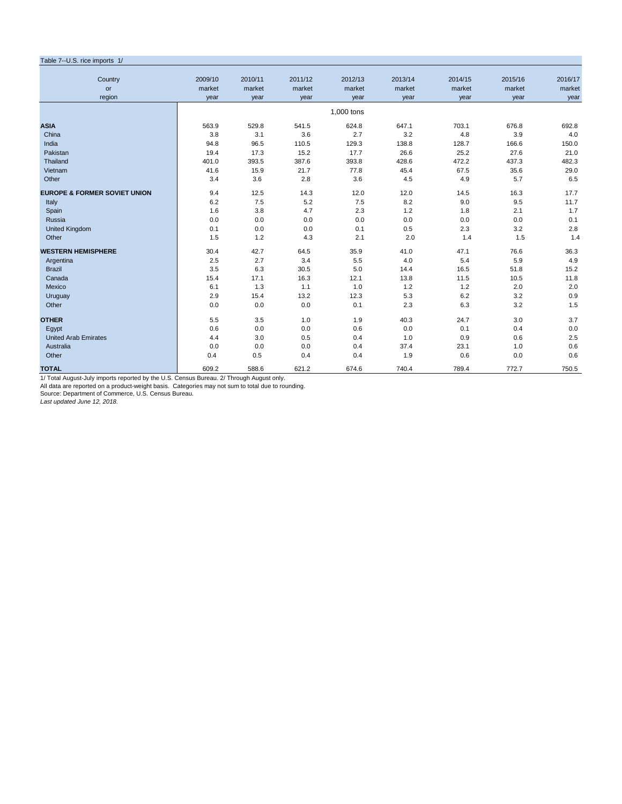| Table 7--U.S. rice imports 1/           |         |         |         |            |         |         |         |         |
|-----------------------------------------|---------|---------|---------|------------|---------|---------|---------|---------|
| Country                                 | 2009/10 | 2010/11 | 2011/12 | 2012/13    | 2013/14 | 2014/15 | 2015/16 | 2016/17 |
| or                                      | market  | market  | market  | market     | market  | market  | market  | market  |
| region                                  | year    | year    | year    | year       | year    | year    | year    | year    |
|                                         |         |         |         | 1,000 tons |         |         |         |         |
| <b>ASIA</b>                             | 563.9   | 529.8   | 541.5   | 624.8      | 647.1   | 703.1   | 676.8   | 692.8   |
| China                                   | 3.8     | 3.1     | 3.6     | 2.7        | 3.2     | 4.8     | 3.9     | 4.0     |
| India                                   | 94.8    | 96.5    | 110.5   | 129.3      | 138.8   | 128.7   | 166.6   | 150.0   |
| Pakistan                                | 19.4    | 17.3    | 15.2    | 17.7       | 26.6    | 25.2    | 27.6    | 21.0    |
| Thailand                                | 401.0   | 393.5   | 387.6   | 393.8      | 428.6   | 472.2   | 437.3   | 482.3   |
| Vietnam                                 | 41.6    | 15.9    | 21.7    | 77.8       | 45.4    | 67.5    | 35.6    | 29.0    |
| Other                                   | 3.4     | 3.6     | 2.8     | 3.6        | 4.5     | 4.9     | 5.7     | 6.5     |
| <b>EUROPE &amp; FORMER SOVIET UNION</b> | 9.4     | 12.5    | 14.3    | 12.0       | 12.0    | 14.5    | 16.3    | 17.7    |
| Italy                                   | 6.2     | 7.5     | 5.2     | 7.5        | 8.2     | 9.0     | 9.5     | 11.7    |
| Spain                                   | 1.6     | 3.8     | 4.7     | 2.3        | 1.2     | 1.8     | 2.1     | 1.7     |
| Russia                                  | 0.0     | 0.0     | 0.0     | 0.0        | 0.0     | 0.0     | 0.0     | 0.1     |
| <b>United Kingdom</b>                   | 0.1     | 0.0     | 0.0     | 0.1        | 0.5     | 2.3     | 3.2     | 2.8     |
| Other                                   | 1.5     | 1.2     | 4.3     | 2.1        | 2.0     | 1.4     | 1.5     | 1.4     |
| <b>WESTERN HEMISPHERE</b>               | 30.4    | 42.7    | 64.5    | 35.9       | 41.0    | 47.1    | 76.6    | 36.3    |
| Argentina                               | 2.5     | 2.7     | 3.4     | 5.5        | 4.0     | 5.4     | 5.9     | 4.9     |
| <b>Brazil</b>                           | 3.5     | 6.3     | 30.5    | 5.0        | 14.4    | 16.5    | 51.8    | 15.2    |
| Canada                                  | 15.4    | 17.1    | 16.3    | 12.1       | 13.8    | 11.5    | 10.5    | 11.8    |
| Mexico                                  | 6.1     | 1.3     | 1.1     | 1.0        | 1.2     | 1.2     | 2.0     | 2.0     |
| Uruguay                                 | 2.9     | 15.4    | 13.2    | 12.3       | 5.3     | 6.2     | 3.2     | 0.9     |
| Other                                   | 0.0     | 0.0     | 0.0     | 0.1        | 2.3     | 6.3     | 3.2     | 1.5     |
| <b>OTHER</b>                            | 5.5     | 3.5     | 1.0     | 1.9        | 40.3    | 24.7    | 3.0     | 3.7     |
| Egypt                                   | 0.6     | 0.0     | 0.0     | 0.6        | 0.0     | 0.1     | 0.4     | 0.0     |
| <b>United Arab Emirates</b>             | 4.4     | 3.0     | 0.5     | 0.4        | 1.0     | 0.9     | 0.6     | 2.5     |
| Australia                               | 0.0     | 0.0     | 0.0     | 0.4        | 37.4    | 23.1    | 1.0     | 0.6     |
| Other                                   | 0.4     | 0.5     | 0.4     | 0.4        | 1.9     | 0.6     | 0.0     | 0.6     |
| <b>TOTAL</b>                            | 609.2   | 588.6   | 621.2   | 674.6      | 740.4   | 789.4   | 772.7   | 750.5   |

1/ Total August-July imports reported by the U.S. Census Bureau. 2/ Through August only.<br>All data are reported on a product-weight basis. Categories may not sum to total due to rounding.<br>Source: Department of Commerce, U.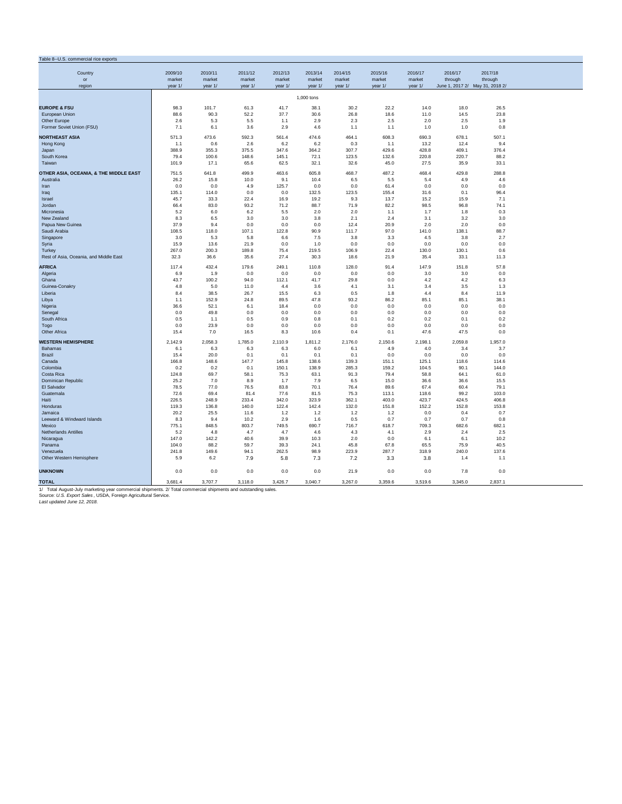| Table 8--U.S. commercial rice exports                                                                          |              |              |              |              |              |              |               |               |                                 |               |  |
|----------------------------------------------------------------------------------------------------------------|--------------|--------------|--------------|--------------|--------------|--------------|---------------|---------------|---------------------------------|---------------|--|
|                                                                                                                |              |              |              |              |              |              |               |               |                                 |               |  |
| Country                                                                                                        | 2009/10      | 2010/11      | 2011/12      | 2012/13      | 2013/14      | 2014/15      | 2015/16       | 2016/17       | 2016/17                         | 2017/18       |  |
| or                                                                                                             | market       | market       | market       | market       | market       | market       | market        | market        | through                         | through       |  |
| region                                                                                                         | year 1/      | year 1/      | year 1/      | year 1/      | year 1/      | year 1/      | year 1/       | year 1/       | June 1, 2017 2/ May 31, 2018 2/ |               |  |
|                                                                                                                |              |              |              |              | 1,000 tons   |              |               |               |                                 |               |  |
|                                                                                                                |              |              |              |              |              |              |               |               |                                 |               |  |
| <b>EUROPE &amp; FSU</b>                                                                                        | 98.3         | 101.7        | 61.3         | 41.7<br>37.7 | 38.1         | 30.2         | 22.2          | 14.0          | 18.0                            | 26.5<br>23.8  |  |
| European Union<br>Other Europe                                                                                 | 88.6<br>2.6  | 90.3<br>5.3  | 52.2<br>5.5  | 1.1          | 30.6<br>2.9  | 26.8<br>2.3  | 18.6<br>2.5   | 11.0<br>2.0   | 14.5<br>2.5                     | 1.9           |  |
| Former Soviet Union (FSU)                                                                                      | 7.1          | 6.1          | 3.6          | 2.9          | 4.6          | 1.1          | 1.1           | 1.0           | 1.0                             | 0.8           |  |
|                                                                                                                |              |              |              |              |              |              |               |               |                                 |               |  |
| <b>NORTHEAST ASIA</b>                                                                                          | 571.3        | 473.6        | 592.3        | 561.4        | 474.6        | 464.1        | 608.3         | 690.3         | 678.1                           | 507.1         |  |
| Hong Kong                                                                                                      | 1.1          | 0.6          | 2.6          | 6.2          | 6.2          | 0.3          | 1.1           | 13.2          | 12.4                            | 9.4           |  |
| Japan                                                                                                          | 388.9        | 355.3        | 375.5        | 347.6        | 364.2        | 307.7        | 429.6         | 428.8         | 409.1                           | 376.4         |  |
| South Korea                                                                                                    | 79.4         | 100.6        | 148.6        | 145.1        | 72.1         | 123.5        | 132.6         | 220.8         | 220.7                           | 88.2          |  |
| Taiwan                                                                                                         | 101.9        | 17.1         | 65.6         | 62.5         | 32.1         | 32.6         | 45.0          | 27.5          | 35.9                            | 33.1          |  |
| OTHER ASIA, OCEANIA, & THE MIDDLE EAST                                                                         | 751.5        | 641.8        | 499.9        | 463.6        | 605.8        | 468.7        | 487.2         | 468.4         | 429.8                           | 288.8         |  |
| Australia                                                                                                      | 26.2         | 15.8         | 10.0         | 9.1          | 10.4         | 6.5          | 5.5           | 5.4           | 4.9                             | 4.6           |  |
| Iran                                                                                                           | 0.0          | 0.0          | 4.9          | 125.7        | 0.0          | 0.0          | 61.4          | 0.0           | 0.0                             | 0.0           |  |
| Iraq                                                                                                           | 135.1        | 114.0        | 0.0          | 0.0          | 132.5        | 123.5        | 155.4         | 31.6          | 0.1                             | 96.4          |  |
| Israel                                                                                                         | 45.7         | 33.3         | 22.4         | 16.9         | 19.2         | 9.3          | 13.7          | 15.2          | 15.9                            | 7.1           |  |
| Jordan                                                                                                         | 66.4         | 83.0         | 93.2         | 71.2         | 88.7         | 71.9         | 82.2          | 98.5          | 96.8                            | 74.1          |  |
| Micronesia                                                                                                     | 5.2          | 6.0          | 6.2          | 5.5          | 2.0          | 2.0          | 1.1           | 1.7           | 1.8                             | 0.3           |  |
| New Zealand<br>Papua New Guinea                                                                                | 8.3<br>37.9  | 6.5<br>9.4   | 3.0<br>0.0   | 3.0<br>0.0   | 3.8<br>0.0   | 2.1<br>12.4  | 2.4<br>20.9   | 3.1<br>2.0    | 3.2<br>2.0                      | 3.0<br>0.0    |  |
| Saudi Arabia                                                                                                   | 108.5        | 118.0        | 107.1        | 122.8        | 90.9         | 111.7        | 97.0          | 141.0         | 138.1                           | 88.7          |  |
| Singapore                                                                                                      | 3.0          | 5.3          | 5.8          | 6.6          | 7.5          | 3.8          | 3.3           | 4.5           | 3.8                             | 2.7           |  |
| Syria                                                                                                          | 15.9         | 13.6         | 21.9         | 0.0          | 1.0          | 0.0          | 0.0           | 0.0           | 0.0                             | 0.0           |  |
| Turkey                                                                                                         | 267.0        | 200.3        | 189.8        | 75.4         | 219.5        | 106.9        | 22.4          | 130.0         | 130.1                           | 0.6           |  |
| Rest of Asia, Oceania, and Middle East                                                                         | 32.3         | 36.6         | 35.6         | 27.4         | 30.3         | 18.6         | 21.9          | 35.4          | 33.1                            | 11.3          |  |
|                                                                                                                |              |              |              |              |              |              |               |               |                                 |               |  |
| <b>AFRICA</b>                                                                                                  | 117.4        | 432.4        | 179.6        | 249.1        | 110.8        | 128.0        | 91.4          | 147.9         | 151.8                           | 57.8          |  |
| Algeria<br>Ghana                                                                                               | 6.9<br>43.7  | 1.9<br>100.2 | 0.0<br>94.0  | 0.0<br>112.1 | 0.0<br>41.7  | 0.0<br>29.8  | 0.0<br>0.0    | 3.0<br>4.2    | 3.0<br>4.2                      | 0.0<br>6.3    |  |
| Guinea-Conakry                                                                                                 | 4.8          | 5.0          | 11.0         | 4.4          | 3.6          | 4.1          | 3.1           | 3.4           | 3.5                             | 1.3           |  |
| Liberia                                                                                                        | 8.4          | 38.5         | 26.7         | 15.5         | 6.3          | 0.5          | 1.8           | 4.4           | 8.4                             | 11.9          |  |
| Libya                                                                                                          | 1.1          | 152.9        | 24.8         | 89.5         | 47.8         | 93.2         | 86.2          | 85.1          | 85.1                            | 38.1          |  |
| Nigeria                                                                                                        | 36.6         | 52.1         | 6.1          | 18.4         | 0.0          | 0.0          | 0.0           | 0.0           | 0.0                             | 0.0           |  |
| Senegal                                                                                                        | 0.0          | 49.8         | 0.0          | 0.0          | 0.0          | 0.0          | 0.0           | 0.0           | 0.0                             | 0.0           |  |
| South Africa                                                                                                   | 0.5          | 1.1          | 0.5          | 0.9          | 0.8          | 0.1          | 0.2           | 0.2           | 0.1                             | 0.2           |  |
| Togo                                                                                                           | 0.0          | 23.9         | 0.0          | 0.0          | 0.0          | 0.0          | 0.0           | 0.0           | 0.0                             | 0.0           |  |
| Other Africa                                                                                                   | 15.4         | 7.0          | 16.5         | 8.3          | 10.6         | 0.4          | 0.1           | 47.6          | 47.5                            | 0.0           |  |
| <b>WESTERN HEMISPHERE</b>                                                                                      | 2,142.9      | 2,058.3      | 1,785.0      | 2,110.9      | 1,811.2      | 2,176.0      | 2,150.6       | 2,198.1       | 2,059.8                         | 1,957.0       |  |
| <b>Bahamas</b>                                                                                                 | 6.1          | 6.3          | 6.3          | 6.3          | 6.0          | 6.1          | 4.9           | 4.0           | 3.4                             | 3.7           |  |
| Brazil                                                                                                         | 15.4         | 20.0         | 0.1          | 0.1          | 0.1          | 0.1          | 0.0           | 0.0           | 0.0                             | 0.0           |  |
| Canada                                                                                                         | 166.8        | 148.6        | 147.7        | 145.8        | 138.6        | 139.3        | 151.1         | 125.1         | 118.6                           | 114.6         |  |
| Colombia                                                                                                       | 0.2          | 0.2          | 0.1          | 150.1        | 138.9        | 285.3        | 159.2         | 104.5         | 90.1                            | 144.0         |  |
| Costa Rica                                                                                                     | 124.8        | 69.7         | 58.1         | 75.3         | 63.1         | 91.3         | 79.4          | 58.8          | 64.1                            | 61.0          |  |
| Dominican Republic                                                                                             | 25.2         | 7.0          | 8.9          | 1.7          | 7.9          | 6.5          | 15.0          | 36.6          | 36.6                            | 15.5          |  |
| El Salvador<br>Guatemala                                                                                       | 78.5<br>72.6 | 77.0<br>69.4 | 76.5<br>81.4 | 83.8<br>77.6 | 70.1<br>81.5 | 76.4<br>75.3 | 89.6<br>113.1 | 67.4<br>118.6 | 60.4<br>99.2                    | 79.1<br>103.0 |  |
| Haiti                                                                                                          | 226.5        | 248.9        | 233.4        | 342.0        | 323.9        | 362.1        | 403.0         | 423.7         | 424.5                           | 406.8         |  |
| Honduras                                                                                                       | 119.3        | 136.8        | 140.0        | 122.4        | 142.4        | 132.0        | 151.8         | 152.2         | 152.8                           | 153.8         |  |
| Jamaica                                                                                                        | 20.2         | 25.5         | 11.6         | 1.2          | 1.2          | 1.2          | 1.2           | 0.0           | 0.4                             | 0.7           |  |
| Leeward & Windward Islands                                                                                     | 8.3          | 9.4          | 10.2         | 2.9          | 1.6          | 0.5          | 0.7           | 0.7           | 0.7                             | 0.8           |  |
| Mexico                                                                                                         | 775.1        | 848.5        | 803.7        | 749.5        | 690.7        | 716.7        | 618.7         | 709.3         | 682.6                           | 682.1         |  |
| Netherlands Antilles                                                                                           | 5.2          | 4.8          | 4.7          | 4.7          | 4.6          | 4.3          | 4.1           | 2.9           | 2.4                             | 2.5           |  |
| Nicaragua                                                                                                      | 147.0        | 142.2        | 40.6         | 39.9         | 10.3         | 2.0          | 0.0           | 6.1           | 6.1                             | 10.2          |  |
| Panama                                                                                                         | 104.0        | 88.2         | 59.7         | 39.3         | 24.1         | 45.8         | 67.8          | 65.5          | 75.9                            | 40.5          |  |
| Venezuela                                                                                                      | 241.8        | 149.6        | 94.1         | 262.5        | 98.9         | 223.9        | 287.7         | 318.9         | 240.0                           | 137.6         |  |
| Other Western Hemisphere                                                                                       | 5.9          | 6.2          | 7.9          | 5.8          | 7.3          | 7.2          | 3.3           | 3.8           | 1.4                             | 1.1           |  |
| <b>UNKNOWN</b>                                                                                                 | 0.0          | 0.0          | 0.0          | 0.0          | 0.0          | 21.9         | 0.0           | 0.0           | 7.8                             | 0.0           |  |
|                                                                                                                |              |              |              |              |              |              |               |               |                                 |               |  |
| <b>TOTAL</b>                                                                                                   | 3,681.4      | 3,707.7      | 3.118.0      | 3,426.7      | 3,040.7      | 3,267.0      | 3,359.6       | 3,519.6       | 3,345.0                         | 2,837.1       |  |
| 1/ Total August-July marketing year commercial shipments. 2/ Total commercial shipments and outstanding sales. |              |              |              |              |              |              |               |               |                                 |               |  |
| Source: U.S. Export Sales, USDA, Foreign Agricultural Service.                                                 |              |              |              |              |              |              |               |               |                                 |               |  |
| Last updated June 12, 2018.                                                                                    |              |              |              |              |              |              |               |               |                                 |               |  |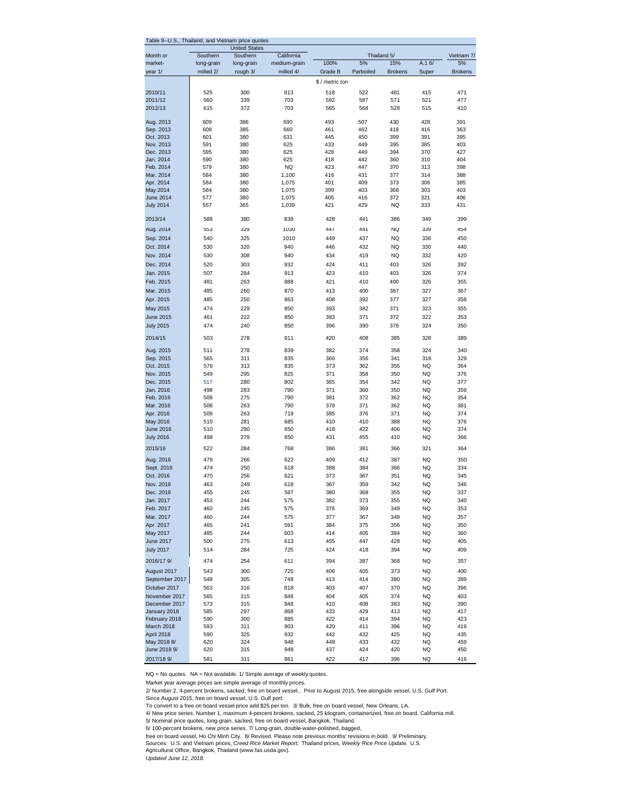| Table 9--U.S.,              |                         | Thailand, and Vietnam price quotes |                           |                 |                   |                |           |                  |
|-----------------------------|-------------------------|------------------------------------|---------------------------|-----------------|-------------------|----------------|-----------|------------------|
|                             |                         | <b>United States</b>               |                           |                 |                   |                |           |                  |
| Month or<br>market-         | Southern                | Southern                           | California                | 100%            | Thailand 5/<br>5% | 15%            | A.16/     | Vietnam 7/<br>5% |
| year 1/                     | long-grain<br>milled 2/ | long-grain<br>rough 3/             | medium-grain<br>milled 4/ | Grade B         | Parboiled         | <b>Brokens</b> | Super     | <b>Brokens</b>   |
|                             |                         |                                    |                           |                 |                   |                |           |                  |
|                             |                         |                                    |                           | \$ / metric ton |                   |                |           |                  |
| 2010/11                     | 525                     | 300                                | 813                       | 518             | 522               | 481            | 415       | 471              |
| 2011/12                     | 560                     | 339                                | 703                       | 592             | 587               | 571            | 521       | 477              |
| 2012/13                     | 615                     | 372                                | 703                       | 565             | 568               | 528            | 515       | 410              |
| Aug. 2013                   | 609                     | 386                                | 690                       | 493             | 507               | 430            | 428       | 391              |
| Sep. 2013                   | 608                     | 385                                | 660                       | 461             | 462               | 418            | 416       | 363              |
| Oct. 2013                   | 601                     | 380                                | 631                       | 445             | 450               | 399            | 391       | 395              |
| Nov. 2013                   | 591                     | 380                                | 625                       | 433             | 449               | 395            | 385       | 403              |
| Dec. 2013                   | 595                     | 380                                | 625                       | 428             | 449               | 394            | 370       | 427              |
| Jan. 2014                   | 590                     | 380                                | 625                       | 418             | 442               | 360            | 310       | 404              |
| Feb. 2014                   | 579                     | 380                                | <b>NQ</b>                 | 423             | 447               | 370            | 313       | 398              |
| Mar. 2014                   | 584                     | 380                                | 1,100                     | 416             | 431               | 377            | 314       | 388              |
| Apr. 2014                   | 584                     | 380                                | 1,075                     | 401             | 409               | 373            | 306       | 385              |
| May 2014                    | 584                     | 380                                | 1,075                     | 399             | 403               | 368            | 303       | 403              |
| <b>June 2014</b>            | 577                     | 380                                | 1,075                     | 405             | 416               | 372            | 321       | 406              |
| <b>July 2014</b>            | 557                     | 365                                | 1,039                     | 421             | 429               | NQ             | 333       | 431              |
| 2013/14                     | 588                     | 380                                | 838                       | 428             | 441               | 386            | 349       | 399              |
| Aug. 2014                   | 553                     | 329                                | 1030                      | 447             | 441               | <b>NQ</b>      | 339       | 454              |
| Sep. 2014                   | 540                     | 325                                | 1010                      | 449             | 437               | <b>NQ</b>      | 336       | 450              |
| Oct. 2014                   | 530                     | 320                                | 940                       | 446             | 432               | NQ             | 330       | 440              |
| Nov. 2014                   | 530                     | 308                                | 940                       | 434             | 419               | <b>NQ</b>      | 332       | 420              |
| Dec. 2014                   | 520                     | 303                                | 932                       | 424             | 411               | 403            | 326       | 392              |
| Jan. 2015                   | 507                     | 284                                | 913                       | 423             | 410               | 403            | 326       | 374              |
| Feb. 2015                   | 481                     | 263                                | 888                       | 421             |                   | 400            |           |                  |
|                             |                         |                                    |                           |                 | 410               |                | 326       | 355              |
| Mar. 2015                   | 485                     | 260                                | 870                       | 413             | 400               | 387            | 327       | 367              |
| Apr. 2015                   | 485                     | 250                                | 863                       | 408             | 392               | 377            | 327       | 358              |
| May 2015                    | 474                     | 229                                | 850                       | 393             | 382               | 371            | 323       | 355              |
| <b>June 2015</b>            | 461                     | 222                                | 850                       | 383             | 371               | 372            | 322       | 353              |
| <b>July 2015</b>            | 474                     | 240                                | 850                       | 396             | 390               | 376            | 324       | 350              |
| 2014/15                     | 503                     | 278                                | 911                       | 420             | 408               | 385            | 328       | 389              |
| Aug. 2015                   | 511                     | 278                                | 839                       | 382             | 374               | 358            | 324       | 340              |
| Sep. 2015                   | 565                     | 311                                | 835                       | 366             | 356               | 341            | 318       | 329              |
| Oct. 2015                   | 576                     | 313                                | 835                       | 373             | 362               | 355            | <b>NQ</b> | 364              |
| Nov. 2015                   | 549                     | 295                                | 825                       | 371             | 358               | 350            | NQ        | 376              |
| Dec. 2015                   | 517                     | 280                                | 802                       | 365             | 354               | 342            | <b>NQ</b> | 377              |
| Jan. 2016                   | 498                     | 283                                | 790                       | 371             | 360               | 350            | <b>NQ</b> | 359              |
| Feb. 2016                   | 509                     | 275                                | 790                       | 381             | 372               | 362            | NQ        | 354              |
| Mar. 2016                   | 508                     | 263                                | 790                       | 379             | 371               | 362            | NQ        | 381              |
| Apr. 2016                   | 509                     | 263                                | 719                       | 385             | 376               | 371            | NQ        | 374              |
| May 2016                    | 510                     | 281                                | 685                       | 410             | 410               | 388            | <b>NQ</b> | 376              |
| <b>June 2016</b>            | 510                     | 290                                | 650                       | 418             | 422               | 406            | NQ        | 374              |
| <b>July 2016</b>            | 498                     | 279                                | 650                       | 431             | 455               | 410            | <b>NQ</b> | 366              |
| 2015/16                     | 522                     | 284                                | 768                       | 386             | 381               | 366            | 321       | 364              |
| Aug. 2016                   | 479                     | 266                                | 622                       | 409             | 412               | 387            | <b>NQ</b> | 350              |
| Sept. 2016                  | 474                     | 250                                | 618                       | 388             | 384               | 366            | NQ        | 334              |
| Oct. 2016                   | 470                     | 256                                | 621                       | 373             | 367               | 351            | <b>NQ</b> | 345              |
| Nov. 2016                   | 463                     | 249                                | 618                       | 367             | 359               | 342            | <b>NQ</b> | 346              |
| Dec. 2016                   | 455                     | 245                                | 597                       | 380             | 368               | 355            | NQ        | 337              |
| Jan. 2017                   | 453                     | 244                                | 575                       | 382             | 373               | 355            | NQ        | 340              |
| Feb. 2017                   | 460                     | 245                                | 575                       | 376             | 369               | 349            | <b>NQ</b> | 353              |
| Mar. 2017                   | 460                     | 244                                | 575                       | 377             | 367               | 348            | <b>NQ</b> | 357              |
| Apr. 2017                   | 465                     | 241                                | 591                       | 384             | 375               | 356            | NQ        | 350              |
| May 2017                    | 485                     | 244                                | 603                       | 414             | 405               | 384            | NQ        | 360              |
| <b>June 2017</b>            | 500                     | 275                                | 613                       | 455             | 447               | 428            | NQ        | 405              |
| <b>July 2017</b>            | 514                     | 284                                | 725                       | 424             | 418               | 394            | NQ        | 409              |
| 2016/17 9/                  | 474                     | 254                                | 611                       | 394             | 387               | 368            | NQ        | 357              |
|                             |                         |                                    |                           |                 |                   |                |           |                  |
| August 2017                 | 543                     | 300                                | 725                       | 406             | 405               | 373            | NQ        | 400              |
| September 2017              | 548                     | 305                                | 748                       | 413             | 414               | 380            | <b>NQ</b> | 389              |
| October 2017                | 563                     | 316                                | 818                       | 403             | 407               | 370            | <b>NQ</b> | 396              |
| November 2017               | 565                     | 315                                | 848                       | 404             | 405               | 374            | NQ        | 403              |
| December 2017               | 573                     | 315                                | 848                       | 410             | 408               | 383            | NQ        | 390              |
| January 2018                | 585                     | 297                                | 868                       | 433             | 429               | 413            | NQ        | 417              |
| February 2018<br>March 2018 | 590<br>593              | 300<br>311                         | 885<br>903                | 422<br>420      | 414<br>411        | 394<br>396     | NQ<br>NQ  | 423<br>419       |
| April 2018                  | 590                     | 325                                | 932                       | 442             | 432               | 425            | NQ        | 435              |
| May 2018 8/                 | 620                     | 324                                | 948                       | 448             | 433               | 432            | ΝQ        | 459              |
| June 2018 9/                | 620                     | 315                                | 948                       | 437             | 424               | 420            | NQ        | 450              |
| 2017/18 9/                  | 581                     | 311                                | 861                       | 422             | 417               | 396            | NQ        | 416              |
|                             |                         |                                    |                           |                 |                   |                |           |                  |

NQ = No quotes. NA = Not available. 1/ Simple average of weekly quotes.

Market year average prices are simple average of monthly prices.

2/ Number 2, 4-percent brokens, sacked, free on board vessel.. Prior to August 2015, free alongside vessel, U.S. Gulf Port.

Since August 2015, free on board vessel, U.S. Gulf port.

To convert to a free on board vessel price add \$25 per ton. 3/ Bulk, free on board vessel, New Orleans, LA.

4/ New price series. Number 1, maximum 4-percent brokens, sacked, 25 kilogram, containerized, free on board, California mill.

5/ Nominal price quotes, long-grain, sacked, free on board vessel, Bangkok, Thailand.

6/ 100-percent brokens, new price series. 7/ Long-grain, double-water-polished, bagged,<br>free on board vessel, Ho Chi Minh City. 8/ Revised. Please note previous months' revisions in bold. 9/ Preliminary.<br>Sources: U.S. a

*Updated June 12, 2018.*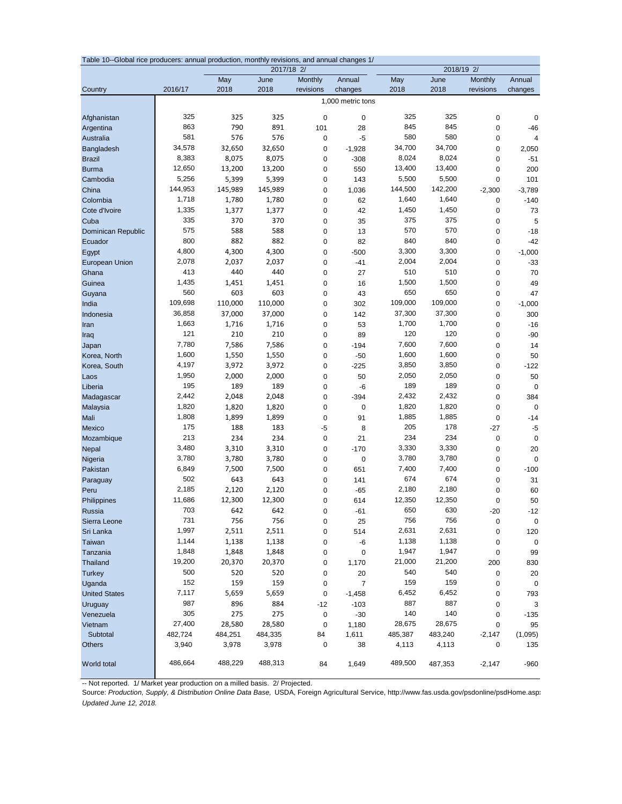|                       | Table 10--Global rice producers: annual production, monthly revisions, and annual changes 1/<br>2017/18 2/<br>2018/19 2/ |                   |                   |                            |                   |              |              |                        |                |  |
|-----------------------|--------------------------------------------------------------------------------------------------------------------------|-------------------|-------------------|----------------------------|-------------------|--------------|--------------|------------------------|----------------|--|
|                       |                                                                                                                          | May               | June              | <b>Monthly</b>             | Annual            | May          | June         | Monthly                | Annual         |  |
| Country               | 2016/17                                                                                                                  | 2018              | 2018              | revisions                  | changes           | 2018         | 2018         | revisions              | changes        |  |
|                       |                                                                                                                          |                   |                   |                            | 1,000 metric tons |              |              |                        |                |  |
|                       |                                                                                                                          |                   |                   |                            |                   |              |              |                        |                |  |
| Afghanistan           | 325                                                                                                                      | 325               | 325               | $\mathbf 0$                | 0                 | 325          | 325          | $\mathbf 0$            | 0              |  |
| Argentina             | 863                                                                                                                      | 790               | 891               | 101                        | 28                | 845          | 845          | 0                      | $-46$          |  |
| Australia             | 581                                                                                                                      | 576               | 576               | $\mathbf 0$                | $-5$              | 580          | 580          | 0                      | $\overline{4}$ |  |
| Bangladesh            | 34,578                                                                                                                   | 32,650            | 32,650            | $\mathbf 0$                | $-1,928$          | 34,700       | 34,700       | 0                      | 2,050          |  |
| <b>Brazil</b>         | 8,383                                                                                                                    | 8,075             | 8,075             | 0                          | $-308$            | 8,024        | 8,024        | 0                      | $-51$          |  |
| <b>Burma</b>          | 12,650                                                                                                                   | 13,200            | 13,200            | $\mathbf 0$                | 550               | 13,400       | 13,400       | 0                      | 200            |  |
| Cambodia              | 5,256                                                                                                                    | 5,399             | 5,399             | $\mathbf 0$                | 143               | 5,500        | 5,500        | 0                      | 101            |  |
| China                 | 144,953                                                                                                                  | 145,989           | 145,989           | $\mathbf 0$                | 1,036             | 144,500      | 142,200      | $-2,300$               | $-3,789$       |  |
| Colombia              | 1,718                                                                                                                    | 1,780             | 1,780             | $\mathbf 0$                | 62                | 1,640        | 1,640        | $\pmb{0}$              | $-140$         |  |
| Cote d'Ivoire         | 1,335                                                                                                                    | 1,377             | 1,377             | $\mathbf 0$                | 42                | 1,450        | 1,450        | 0                      | 73             |  |
| Cuba                  | 335                                                                                                                      | 370               | 370               | $\mathbf 0$                | 35                | 375          | 375          | 0                      | 5              |  |
| Dominican Republic    | 575                                                                                                                      | 588               | 588               | $\mathbf 0$                | 13                | 570          | 570          | $\pmb{0}$              | $-18$          |  |
| Ecuador               | 800                                                                                                                      | 882               | 882               | $\mathbf 0$                | 82                | 840          | 840          | $\pmb{0}$              | $-42$          |  |
| Egypt                 | 4,800                                                                                                                    | 4,300             | 4,300             | $\mathbf 0$                | $-500$            | 3,300        | 3,300        | 0                      | $-1,000$       |  |
| <b>European Union</b> | 2,078                                                                                                                    | 2,037             | 2,037             | $\mathbf 0$                | $-41$             | 2,004        | 2,004        | 0                      | $-33$          |  |
| Ghana                 | 413                                                                                                                      | 440               | 440               | $\mathbf 0$                | 27                | 510<br>1,500 | 510          | 0                      | 70             |  |
| Guinea                | 1,435<br>560                                                                                                             | 1,451             | 1,451<br>603      | $\mathbf 0$                | 16                | 650          | 1,500<br>650 | 0                      | 49             |  |
| Guyana                | 109,698                                                                                                                  | 603               |                   | $\mathbf 0$                | 43                | 109,000      | 109,000      | $\pmb{0}$              | 47             |  |
| India                 | 36,858                                                                                                                   | 110,000<br>37,000 | 110,000<br>37,000 | $\mathbf 0$                | 302               | 37,300       | 37,300       | 0                      | $-1,000$       |  |
| Indonesia             | 1,663                                                                                                                    | 1,716             | 1,716             | $\mathbf 0$                | 142               | 1,700        | 1,700        | 0                      | 300            |  |
| Iran                  | 121                                                                                                                      | 210               | 210               | $\mathbf 0$<br>$\mathbf 0$ | 53<br>89          | 120          | 120          | $\pmb{0}$<br>$\pmb{0}$ | $-16$<br>$-90$ |  |
| Iraq<br>Japan         | 7,780                                                                                                                    | 7,586             | 7,586             | $\mathbf 0$                | $-194$            | 7,600        | 7,600        | 0                      | 14             |  |
| Korea, North          | 1,600                                                                                                                    | 1,550             | 1,550             | $\mathbf 0$                | $-50$             | 1,600        | 1,600        | $\pmb{0}$              | 50             |  |
| Korea, South          | 4,197                                                                                                                    | 3,972             | 3,972             | 0                          | $-225$            | 3,850        | 3,850        | $\pmb{0}$              | $-122$         |  |
| Laos                  | 1,950                                                                                                                    | 2,000             | 2,000             | $\pmb{0}$                  | 50                | 2,050        | 2,050        | $\pmb{0}$              | 50             |  |
| Liberia               | 195                                                                                                                      | 189               | 189               | $\mathbf 0$                | -6                | 189          | 189          | $\pmb{0}$              | $\mathbf 0$    |  |
| Madagascar            | 2,442                                                                                                                    | 2,048             | 2,048             | $\mathbf 0$                | $-394$            | 2,432        | 2,432        | $\pmb{0}$              | 384            |  |
| Malaysia              | 1,820                                                                                                                    | 1,820             | 1,820             | $\mathbf 0$                | 0                 | 1,820        | 1,820        | 0                      | $\mathbf 0$    |  |
| Mali                  | 1,808                                                                                                                    | 1,899             | 1,899             | $\mathbf 0$                | 91                | 1,885        | 1,885        | 0                      | $-14$          |  |
| Mexico                | 175                                                                                                                      | 188               | 183               | -5                         | 8                 | 205          | 178          | $-27$                  | -5             |  |
| Mozambique            | 213                                                                                                                      | 234               | 234               | $\mathbf 0$                | 21                | 234          | 234          | $\pmb{0}$              | $\mathbf 0$    |  |
| Nepal                 | 3,480                                                                                                                    | 3,310             | 3,310             | $\mathbf 0$                | $-170$            | 3,330        | 3,330        | $\pmb{0}$              | 20             |  |
| Nigeria               | 3,780                                                                                                                    | 3,780             | 3,780             | $\mathbf 0$                | 0                 | 3,780        | 3,780        | $\pmb{0}$              | $\mathbf 0$    |  |
| Pakistan              | 6,849                                                                                                                    | 7,500             | 7,500             | $\mathbf 0$                | 651               | 7,400        | 7,400        | 0                      | $-100$         |  |
| Paraguay              | 502                                                                                                                      | 643               | 643               | $\mathbf 0$                | 141               | 674          | 674          | 0                      | 31             |  |
| Peru                  | 2,185                                                                                                                    | 2,120             | 2,120             | $\mathbf 0$                | $-65$             | 2,180        | 2,180        | 0                      | 60             |  |
| Philippines           | 11,686                                                                                                                   | 12,300            | 12,300            | 0                          | 614               | 12,350       | 12,350       | 0                      | 50             |  |
| Russia                | 703                                                                                                                      | 642               | 642               | 0                          | $-61$             | 650          | 630          | $-20$                  | $-12$          |  |
| Sierra Leone          | 731                                                                                                                      | 756               | 756               | 0                          | 25                | 756          | 756          | 0                      | 0              |  |
| Sri Lanka             | 1,997                                                                                                                    | 2,511             | 2,511             | 0                          | 514               | 2,631        | 2,631        | 0                      | 120            |  |
| Taiwan                | 1,144                                                                                                                    | 1,138             | 1,138             | 0                          | -6                | 1,138        | 1,138        | 0                      | 0              |  |
| Tanzania              | 1,848                                                                                                                    | 1,848             | 1,848             | 0                          | 0                 | 1,947        | 1,947        | 0                      | 99             |  |
| Thailand              | 19,200                                                                                                                   | 20,370            | 20,370            | 0                          | 1,170             | 21,000       | 21,200       | 200                    | 830            |  |
| <b>Turkey</b>         | 500                                                                                                                      | 520               | 520               | 0                          | 20                | 540          | 540          | 0                      | 20             |  |
| Uganda                | 152                                                                                                                      | 159               | 159               | 0                          | 7                 | 159          | 159          | 0                      | 0              |  |
| <b>United States</b>  | 7,117                                                                                                                    | 5,659             | 5,659             | 0                          | $-1,458$          | 6,452        | 6,452        | 0                      | 793            |  |
| Uruguay               | 987                                                                                                                      | 896               | 884               | $-12$                      | $-103$            | 887          | 887          | 0                      | 3              |  |
| Venezuela             | 305                                                                                                                      | 275               | 275               | 0                          | $-30$             | 140          | 140          | 0                      | $-135$         |  |
| Vietnam               | 27,400                                                                                                                   | 28,580            | 28,580            | 0                          | 1,180             | 28,675       | 28,675       | 0                      | 95             |  |
| Subtotal              | 482,724                                                                                                                  | 484,251           | 484,335           | 84                         | 1,611             | 485,387      | 483,240      | $-2,147$               | (1,095)        |  |
| <b>Others</b>         | 3,940                                                                                                                    | 3,978             | 3,978             | 0                          | 38                | 4,113        | 4,113        | 0                      | 135            |  |
| World total           | 486,664                                                                                                                  | 488,229           | 488,313           | 84                         | 1,649             | 489,500      | 487,353      | $-2,147$               | $-960$         |  |

-- Not reported. 1/ Market year production on a milled basis. 2/ Projected.

Source: *Production, Supply, & Distribution Online Data Base,* USDA, Foreign Agricultural Service, http://www.fas.usda.gov/psdonline/psdHome.aspx *Updated June 12, 2018.*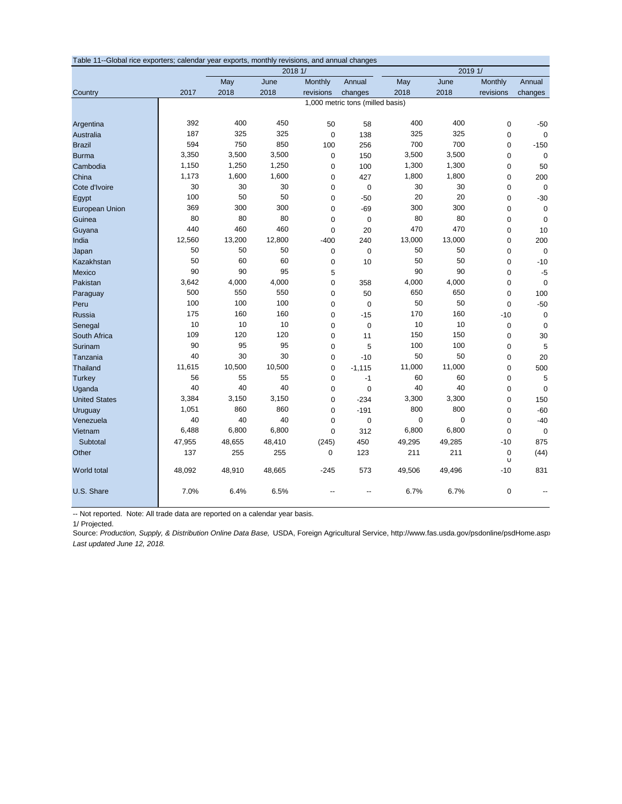| Table 11--Global rice exporters; calendar year exports, monthly revisions, and annual changes |        |        |         |             |                                  |             |             |                  |             |  |
|-----------------------------------------------------------------------------------------------|--------|--------|---------|-------------|----------------------------------|-------------|-------------|------------------|-------------|--|
|                                                                                               |        |        | 2018 1/ |             |                                  |             | 2019 1/     |                  |             |  |
|                                                                                               |        | May    | June    | Monthly     | Annual                           | May         | June        | Monthly          | Annual      |  |
| Country                                                                                       | 2017   | 2018   | 2018    | revisions   | changes                          | 2018        | 2018        | revisions        | changes     |  |
|                                                                                               |        |        |         |             | 1,000 metric tons (milled basis) |             |             |                  |             |  |
|                                                                                               | 392    | 400    | 450     | 50          | 58                               | 400         | 400         | $\mathbf 0$      | $-50$       |  |
| Argentina<br>Australia                                                                        | 187    | 325    | 325     | $\mathbf 0$ | 138                              | 325         | 325         | $\mathbf 0$      | $\mathbf 0$ |  |
| <b>Brazil</b>                                                                                 | 594    | 750    | 850     | 100         | 256                              | 700         | 700         | $\mathbf 0$      | $-150$      |  |
| <b>Burma</b>                                                                                  | 3,350  | 3,500  | 3,500   | $\mathbf 0$ | 150                              | 3,500       | 3,500       | $\mathbf 0$      | $\mathbf 0$ |  |
| Cambodia                                                                                      | 1,150  | 1,250  | 1,250   | $\mathbf 0$ | 100                              | 1,300       | 1,300       | $\mathbf 0$      | 50          |  |
| China                                                                                         | 1,173  | 1,600  | 1,600   | $\mathbf 0$ | 427                              | 1,800       | 1,800       | $\mathbf 0$      | 200         |  |
| Cote d'Ivoire                                                                                 | 30     | 30     | 30      | $\mathbf 0$ | $\mathbf 0$                      | 30          | 30          | $\mathbf 0$      | $\mathbf 0$ |  |
| Egypt                                                                                         | 100    | 50     | 50      | $\mathbf 0$ | $-50$                            | 20          | 20          | $\mathbf 0$      | $-30$       |  |
| European Union                                                                                | 369    | 300    | 300     | $\mathbf 0$ | $-69$                            | 300         | 300         | $\mathbf 0$      | $\mathbf 0$ |  |
| Guinea                                                                                        | 80     | 80     | 80      | $\mathbf 0$ | 0                                | 80          | 80          | $\mathbf 0$      | $\mathbf 0$ |  |
| Guyana                                                                                        | 440    | 460    | 460     | $\mathbf 0$ | 20                               | 470         | 470         | $\mathbf 0$      | 10          |  |
| India                                                                                         | 12,560 | 13,200 | 12,800  | $-400$      | 240                              | 13,000      | 13,000      | $\mathbf 0$      | 200         |  |
| Japan                                                                                         | 50     | 50     | 50      | $\mathbf 0$ | $\mathbf 0$                      | 50          | 50          | $\mathbf 0$      | $\mathbf 0$ |  |
| Kazakhstan                                                                                    | 50     | 60     | 60      | $\mathbf 0$ | 10                               | 50          | 50          | $\mathbf 0$      | $-10$       |  |
| Mexico                                                                                        | 90     | 90     | 95      | 5           |                                  | 90          | 90          | $\mathbf 0$      | $-5$        |  |
| Pakistan                                                                                      | 3,642  | 4,000  | 4,000   | 0           | 358                              | 4,000       | 4,000       | $\mathbf 0$      | $\mathbf 0$ |  |
| Paraguay                                                                                      | 500    | 550    | 550     | $\mathbf 0$ | 50                               | 650         | 650         | $\mathbf 0$      | 100         |  |
| Peru                                                                                          | 100    | 100    | 100     | $\mathbf 0$ | $\mathbf 0$                      | 50          | 50          | $\mathbf 0$      | $-50$       |  |
| Russia                                                                                        | 175    | 160    | 160     | 0           | $-15$                            | 170         | 160         | $-10$            | $\mathbf 0$ |  |
| Senegal                                                                                       | 10     | 10     | 10      | $\mathbf 0$ | $\mathbf 0$                      | 10          | 10          | $\mathbf 0$      | $\mathbf 0$ |  |
| South Africa                                                                                  | 109    | 120    | 120     | 0           | 11                               | 150         | 150         | $\mathbf 0$      | 30          |  |
| Surinam                                                                                       | 90     | 95     | 95      | $\mathbf 0$ | 5                                | 100         | 100         | $\mathbf 0$      | 5           |  |
| Tanzania                                                                                      | 40     | 30     | 30      | $\mathbf 0$ | $-10$                            | 50          | 50          | $\mathbf 0$      | 20          |  |
| <b>Thailand</b>                                                                               | 11,615 | 10,500 | 10,500  | 0           | $-1,115$                         | 11,000      | 11,000      | $\mathbf 0$      | 500         |  |
| <b>Turkey</b>                                                                                 | 56     | 55     | 55      | 0           | $-1$                             | 60          | 60          | $\mathbf 0$      | 5           |  |
| Uganda                                                                                        | 40     | 40     | 40      | $\mathbf 0$ | $\mathbf 0$                      | 40          | 40          | $\mathbf 0$      | $\mathbf 0$ |  |
| <b>United States</b>                                                                          | 3,384  | 3,150  | 3,150   | $\mathbf 0$ | $-234$                           | 3,300       | 3,300       | $\mathbf 0$      | 150         |  |
| Uruguay                                                                                       | 1,051  | 860    | 860     | $\mathbf 0$ | $-191$                           | 800         | 800         | $\mathbf 0$      | $-60$       |  |
| Venezuela                                                                                     | 40     | 40     | 40      | $\mathbf 0$ | $\mathbf 0$                      | $\mathbf 0$ | $\mathbf 0$ | $\mathbf 0$      | $-40$       |  |
| Vietnam                                                                                       | 6,488  | 6,800  | 6,800   | $\mathbf 0$ | 312                              | 6,800       | 6,800       | $\mathbf 0$      | $\mathbf 0$ |  |
| Subtotal                                                                                      | 47,955 | 48,655 | 48,410  | (245)       | 450                              | 49,295      | 49,285      | $-10$            | 875         |  |
| Other                                                                                         | 137    | 255    | 255     | 0           | 123                              | 211         | 211         | $\mathbf 0$<br>U | (44)        |  |
| World total                                                                                   | 48,092 | 48,910 | 48,665  | $-245$      | 573                              | 49,506      | 49,496      | $-10$            | 831         |  |
| U.S. Share                                                                                    | 7.0%   | 6.4%   | 6.5%    |             | $-$                              | 6.7%        | 6.7%        | $\mathbf 0$      |             |  |

-- Not reported. Note: All trade data are reported on a calendar year basis.

1/ Projected.

Source: *Production, Supply, & Distribution Online Data Base,* USDA, Foreign Agricultural Service, http://www.fas.usda.gov/psdonline/psdHome.aspx *Last updated June 12, 2018.*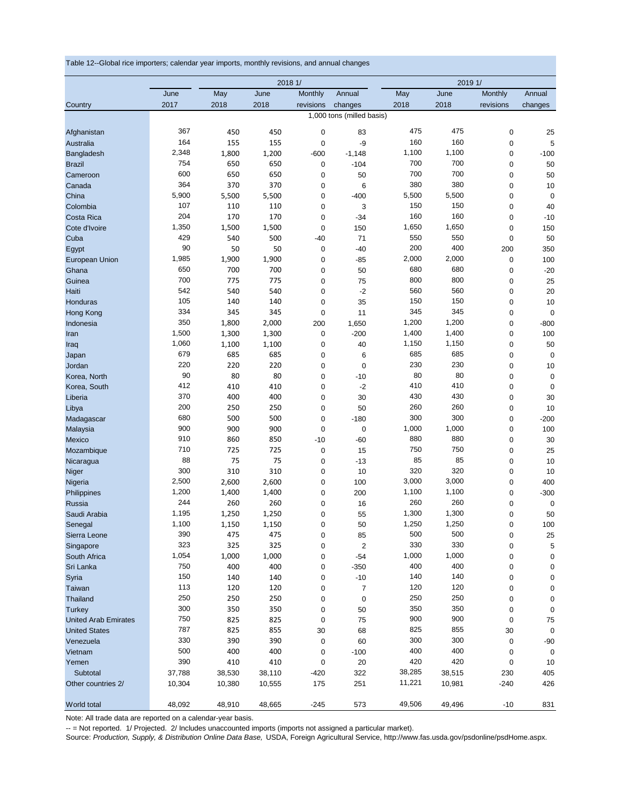Table 12--Global rice importers; calendar year imports, monthly revisions, and annual changes

|                               | 2018 1/      |            |            |           |                           | 2019 1/      |              |             |                   |
|-------------------------------|--------------|------------|------------|-----------|---------------------------|--------------|--------------|-------------|-------------------|
|                               | June         | May        | June       | Monthly   | Annual                    | May          | June         | Monthly     | Annual            |
| Country                       | 2017         | 2018       | 2018       | revisions | changes                   | 2018         | 2018         | revisions   | changes           |
|                               |              |            |            |           | 1,000 tons (milled basis) |              |              |             |                   |
| Afghanistan                   | 367          | 450        | 450        | 0         | 83                        | 475          | 475          | 0           | 25                |
| Australia                     | 164          | 155        | 155        | 0         | -9                        | 160          | 160          | $\mathbf 0$ | 5                 |
| Bangladesh                    | 2,348        | 1,800      | 1,200      | -600      | $-1,148$                  | 1,100        | 1,100        | 0           | $-100$            |
| <b>Brazil</b>                 | 754          | 650        | 650        | 0         | $-104$                    | 700          | 700          | 0           | 50                |
| Cameroon                      | 600          | 650        | 650        | 0         | 50                        | 700          | 700          | 0           | 50                |
| Canada                        | 364          | 370        | 370        | 0         | 6                         | 380          | 380          | 0           | 10                |
| China                         | 5,900        | 5,500      | 5,500      | 0         | $-400$                    | 5,500        | 5,500        | $\pmb{0}$   | $\mathbf 0$       |
| Colombia                      | 107          | 110        | 110        | 0         | 3                         | 150          | 150          | $\pmb{0}$   | 40                |
| Costa Rica                    | 204          | 170        | 170        | 0         | $-34$                     | 160          | 160          | $\mathbf 0$ | $-10$             |
| Cote d'Ivoire                 | 1,350        | 1,500      | 1,500      | 0         | 150                       | 1,650        | 1,650        | 0           | 150               |
| Cuba                          | 429          | 540        | 500        | -40       | 71                        | 550          | 550          | $\mathbf 0$ | 50                |
| Egypt                         | 90           | 50         | 50         | 0         | $-40$                     | 200          | 400          | 200         | 350               |
| European Union                | 1,985        | 1,900      | 1,900      | 0         | $-85$                     | 2,000        | 2,000        | 0           | 100               |
| Ghana                         | 650<br>700   | 700        | 700        | 0         | 50                        | 680<br>800   | 680          | 0           | $-20$             |
| Guinea                        | 542          | 775        | 775        | 0         | 75                        | 560          | 800<br>560   | 0           | 25                |
| Haiti                         | 105          | 540        | 540        | 0         | $-2$                      | 150          | 150          | 0           | 20                |
| Honduras                      | 334          | 140<br>345 | 140<br>345 | 0<br>0    | 35<br>11                  | 345          | 345          | 0<br>0      | 10<br>$\mathbf 0$ |
| <b>Hong Kong</b><br>Indonesia | 350          | 1,800      | 2,000      | 200       | 1,650                     | 1,200        | 1,200        | 0           | $-800$            |
| Iran                          | 1,500        | 1,300      | 1,300      | 0         | $-200$                    | 1,400        | 1,400        | 0           | 100               |
| Iraq                          | 1,060        | 1,100      | 1,100      | 0         | 40                        | 1,150        | 1,150        | 0           | 50                |
| Japan                         | 679          | 685        | 685        | 0         | 6                         | 685          | 685          | 0           | $\mathbf 0$       |
| Jordan                        | 220          | 220        | 220        | 0         | 0                         | 230          | 230          | 0           | 10                |
| Korea, North                  | 90           | 80         | 80         | 0         | $-10$                     | 80           | 80           | 0           | 0                 |
| Korea, South                  | 412          | 410        | 410        | 0         | $-2$                      | 410          | 410          | $\mathbf 0$ | 0                 |
| Liberia                       | 370          | 400        | 400        | 0         | 30                        | 430          | 430          | 0           | 30                |
| Libya                         | 200          | 250        | 250        | 0         | 50                        | 260          | 260          | 0           | 10                |
| Madagascar                    | 680          | 500        | 500        | 0         | $-180$                    | 300          | 300          | 0           | $-200$            |
| Malaysia                      | 900          | 900        | 900        | 0         | $\mathbf 0$               | 1,000        | 1,000        | 0           | 100               |
| Mexico                        | 910          | 860        | 850        | $-10$     | $-60$                     | 880          | 880          | 0           | 30                |
| Mozambique                    | 710          | 725        | 725        | 0         | 15                        | 750          | 750          | 0           | 25                |
| Nicaragua                     | 88           | 75         | 75         | 0         | $-13$                     | 85           | 85           | $\mathbf 0$ | 10                |
| Niger                         | 300          | 310        | 310        | 0         | 10                        | 320          | 320          | 0           | 10                |
| Nigeria                       | 2,500        | 2,600      | 2,600      | 0         | 100                       | 3,000        | 3,000        | $\mathbf 0$ | 400               |
| Philippines                   | 1,200        | 1,400      | 1,400      | 0         | 200                       | 1,100        | 1,100        | 0           | $-300$            |
| Russia                        | 244          | 260        | 260        | 0         | 16                        | 260          | 260          | 0           | 0                 |
| Saudi Arabia                  | 1,195        | 1,250      | 1,250      | 0         | 55                        | 1,300        | 1,300        | 0           | 50                |
| Senegal                       | 1,100        | 1,150      | 1,150      | 0         | 50                        | 1,250        | 1,250        | 0           | 100               |
| Sierra Leone                  | 390          | 475        | 475        | 0         | 85                        | 500          | 500          | 0           | 25                |
| Singapore                     | 323          | 325        | 325        | 0         | $\overline{2}$            | 330          | 330          | 0           | 5                 |
| South Africa                  | 1,054<br>750 | 1,000      | 1,000      | 0         | $-54$                     | 1,000<br>400 | 1,000<br>400 | 0           | 0                 |
| Sri Lanka<br>Syria            | 150          | 400<br>140 | 400<br>140 | 0<br>0    | $-350$<br>$-10$           | 140          | 140          | 0           | 0                 |
| Taiwan                        | 113          | 120        | 120        | 0         | 7                         | 120          | 120          | 0<br>0      | 0<br>0            |
| Thailand                      | 250          | 250        | 250        | 0         | $\pmb{0}$                 | 250          | 250          | 0           | 0                 |
| Turkey                        | 300          | 350        | 350        | 0         | 50                        | 350          | 350          | 0           | 0                 |
| <b>United Arab Emirates</b>   | 750          | 825        | 825        | 0         | 75                        | 900          | 900          | 0           | 75                |
| <b>United States</b>          | 787          | 825        | 855        | 30        | 68                        | 825          | 855          | 30          | 0                 |
| Venezuela                     | 330          | 390        | 390        | 0         | 60                        | 300          | 300          | 0           | $-90$             |
| Vietnam                       | 500          | 400        | 400        | 0         | $-100$                    | 400          | 400          | 0           | 0                 |
| Yemen                         | 390          | 410        | 410        | 0         | $20\,$                    | 420          | 420          | 0           | 10                |
| Subtotal                      | 37,788       | 38,530     | 38,110     | $-420$    | 322                       | 38,285       | 38,515       | 230         | 405               |
| Other countries 2/            | 10,304       | 10,380     | 10,555     | 175       | 251                       | 11,221       | 10,981       | $-240$      | 426               |
| World total                   | 48,092       | 48,910     | 48,665     | $-245$    | 573                       | 49,506       | 49,496       | $-10$       | 831               |

Note: All trade data are reported on a calendar-year basis.

-- = Not reported. 1/ Projected. 2/ Includes unaccounted imports (imports not assigned a particular market).

Source: *Production, Supply, & Distribution Online Data Base,* USDA, Foreign Agricultural Service, http://www.fas.usda.gov/psdonline/psdHome.aspx.